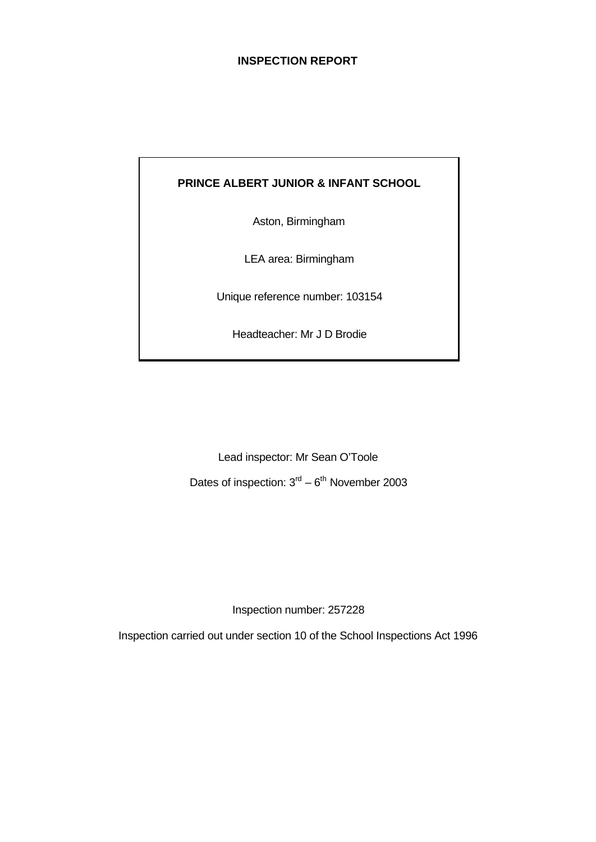# **INSPECTION REPORT**

# **PRINCE ALBERT JUNIOR & INFANT SCHOOL**

Aston, Birmingham

LEA area: Birmingham

Unique reference number: 103154

Headteacher: Mr J D Brodie

Lead inspector: Mr Sean O'Toole Dates of inspection:  $3<sup>rd</sup> - 6<sup>th</sup>$  November 2003

Inspection number: 257228

Inspection carried out under section 10 of the School Inspections Act 1996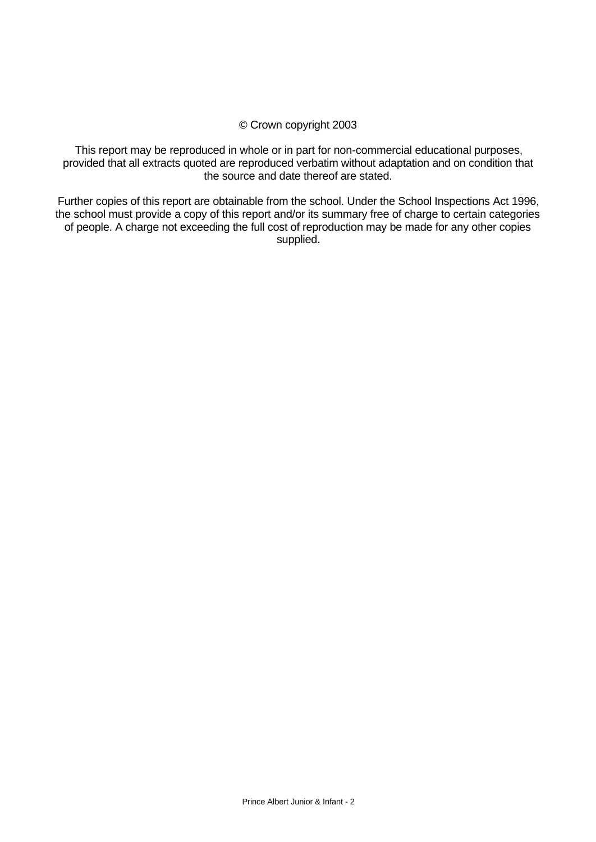## © Crown copyright 2003

This report may be reproduced in whole or in part for non-commercial educational purposes, provided that all extracts quoted are reproduced verbatim without adaptation and on condition that the source and date thereof are stated.

Further copies of this report are obtainable from the school. Under the School Inspections Act 1996, the school must provide a copy of this report and/or its summary free of charge to certain categories of people. A charge not exceeding the full cost of reproduction may be made for any other copies supplied.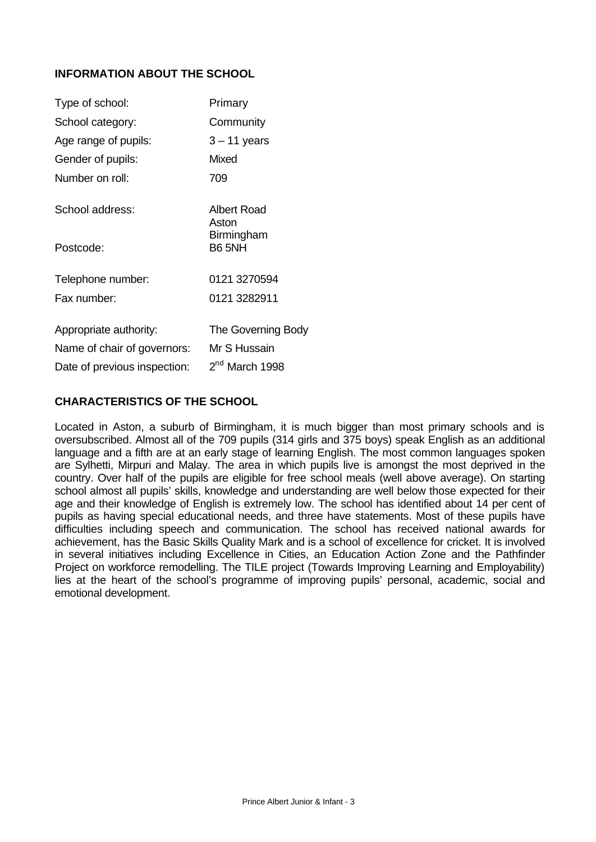# **INFORMATION ABOUT THE SCHOOL**

| Type of school:              | Primary                     |
|------------------------------|-----------------------------|
| School category:             | Community                   |
| Age range of pupils:         | $3 - 11$ years              |
| Gender of pupils:            | Mixed                       |
| Number on roll:              | 709                         |
| School address:              | <b>Albert Road</b><br>Aston |
| Postcode:                    | Birmingham<br><b>B6 5NH</b> |
| Telephone number:            | 0121 3270594                |
| Fax number:                  | 0121 3282911                |
| Appropriate authority:       | The Governing Body          |
| Name of chair of governors:  | Mr S Hussain                |
| Date of previous inspection: | 2 <sup>nd</sup> March 1998  |

# **CHARACTERISTICS OF THE SCHOOL**

Located in Aston, a suburb of Birmingham, it is much bigger than most primary schools and is oversubscribed. Almost all of the 709 pupils (314 girls and 375 boys) speak English as an additional language and a fifth are at an early stage of learning English. The most common languages spoken are Sylhetti, Mirpuri and Malay. The area in which pupils live is amongst the most deprived in the country. Over half of the pupils are eligible for free school meals (well above average). On starting school almost all pupils' skills, knowledge and understanding are well below those expected for their age and their knowledge of English is extremely low. The school has identified about 14 per cent of pupils as having special educational needs, and three have statements. Most of these pupils have difficulties including speech and communication. The school has received national awards for achievement, has the Basic Skills Quality Mark and is a school of excellence for cricket. It is involved in several initiatives including Excellence in Cities, an Education Action Zone and the Pathfinder Project on workforce remodelling. The TILE project (Towards Improving Learning and Employability) lies at the heart of the school's programme of improving pupils' personal, academic, social and emotional development.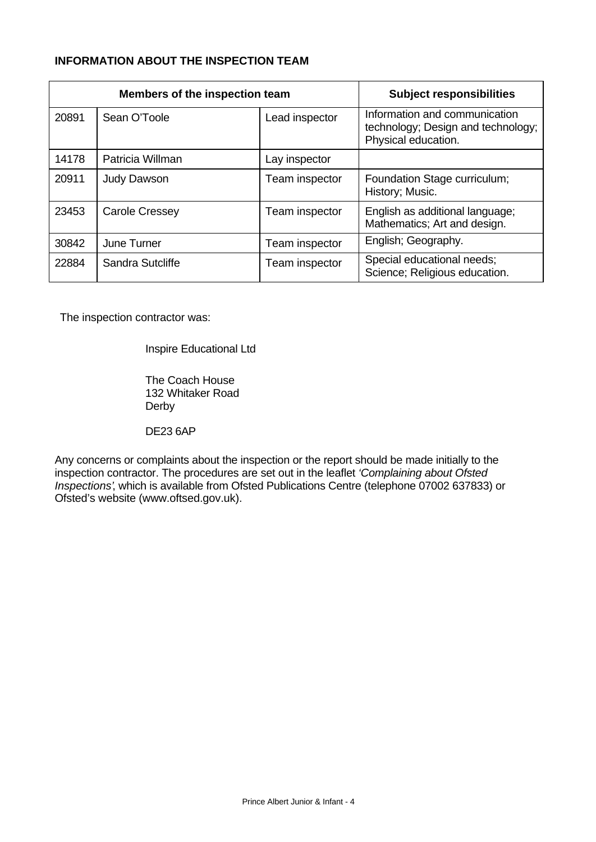# **INFORMATION ABOUT THE INSPECTION TEAM**

| Members of the inspection team |                    | <b>Subject responsibilities</b> |                                                                                            |
|--------------------------------|--------------------|---------------------------------|--------------------------------------------------------------------------------------------|
| 20891                          | Sean O'Toole       | Lead inspector                  | Information and communication<br>technology; Design and technology;<br>Physical education. |
| 14178                          | Patricia Willman   | Lay inspector                   |                                                                                            |
| 20911                          | <b>Judy Dawson</b> | Team inspector                  | Foundation Stage curriculum;<br>History; Music.                                            |
| 23453                          | Carole Cressey     | Team inspector                  | English as additional language;<br>Mathematics; Art and design.                            |
| 30842                          | June Turner        | Team inspector                  | English; Geography.                                                                        |
| 22884                          | Sandra Sutcliffe   | Team inspector                  | Special educational needs;<br>Science; Religious education.                                |

The inspection contractor was:

Inspire Educational Ltd

The Coach House 132 Whitaker Road Derby

DE23 6AP

Any concerns or complaints about the inspection or the report should be made initially to the inspection contractor. The procedures are set out in the leaflet *'Complaining about Ofsted Inspections'*, which is available from Ofsted Publications Centre (telephone 07002 637833) or Ofsted's website (www.oftsed.gov.uk).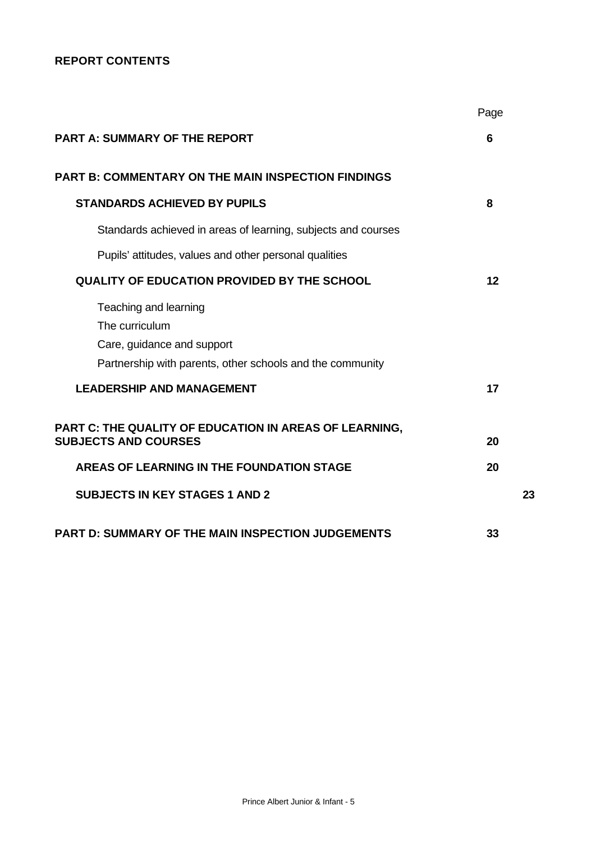# **REPORT CONTENTS**

|                                                                                                                                    | Page |
|------------------------------------------------------------------------------------------------------------------------------------|------|
| <b>PART A: SUMMARY OF THE REPORT</b>                                                                                               | 6    |
| <b>PART B: COMMENTARY ON THE MAIN INSPECTION FINDINGS</b>                                                                          |      |
| <b>STANDARDS ACHIEVED BY PUPILS</b>                                                                                                | 8    |
| Standards achieved in areas of learning, subjects and courses                                                                      |      |
| Pupils' attitudes, values and other personal qualities                                                                             |      |
| <b>QUALITY OF EDUCATION PROVIDED BY THE SCHOOL</b>                                                                                 | 12   |
| Teaching and learning<br>The curriculum<br>Care, guidance and support<br>Partnership with parents, other schools and the community |      |
| <b>LEADERSHIP AND MANAGEMENT</b>                                                                                                   | 17   |
| PART C: THE QUALITY OF EDUCATION IN AREAS OF LEARNING,<br><b>SUBJECTS AND COURSES</b>                                              | 20   |
| AREAS OF LEARNING IN THE FOUNDATION STAGE                                                                                          | 20   |
| <b>SUBJECTS IN KEY STAGES 1 AND 2</b>                                                                                              | 23   |
| PART D: SUMMARY OF THE MAIN INSPECTION JUDGEMENTS                                                                                  | 33   |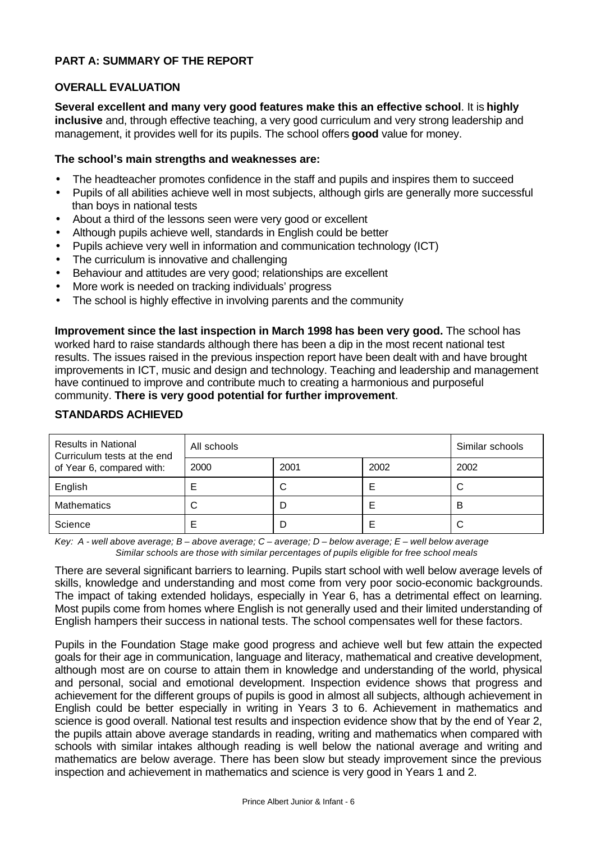# **PART A: SUMMARY OF THE REPORT**

## **OVERALL EVALUATION**

**Several excellent and many very good features make this an effective school**. It is **highly inclusive** and, through effective teaching, a very good curriculum and very strong leadership and management, it provides well for its pupils. The school offers **good** value for money.

#### **The school's main strengths and weaknesses are:**

- The headteacher promotes confidence in the staff and pupils and inspires them to succeed
- Pupils of all abilities achieve well in most subjects, although girls are generally more successful than boys in national tests
- About a third of the lessons seen were very good or excellent
- Although pupils achieve well, standards in English could be better
- Pupils achieve very well in information and communication technology (ICT)
- The curriculum is innovative and challenging
- Behaviour and attitudes are very good; relationships are excellent
- More work is needed on tracking individuals' progress
- The school is highly effective in involving parents and the community

**Improvement since the last inspection in March 1998 has been very good.** The school has worked hard to raise standards although there has been a dip in the most recent national test results. The issues raised in the previous inspection report have been dealt with and have brought improvements in ICT, music and design and technology. Teaching and leadership and management have continued to improve and contribute much to creating a harmonious and purposeful community. **There is very good potential for further improvement**.

| <b>Results in National</b><br>Curriculum tests at the end | All schools | Similar schools |      |      |
|-----------------------------------------------------------|-------------|-----------------|------|------|
| of Year 6, compared with:                                 | 2000        | 2001            | 2002 | 2002 |
| English                                                   |             | С               |      |      |
| <b>Mathematics</b>                                        | C           |                 |      | B    |
| Science                                                   |             |                 |      |      |

# **STANDARDS ACHIEVED**

*Key: A - well above average; B – above average; C – average; D – below average; E – well below average Similar schools are those with similar percentages of pupils eligible for free school meals*

There are several significant barriers to learning. Pupils start school with well below average levels of skills, knowledge and understanding and most come from very poor socio-economic backgrounds. The impact of taking extended holidays, especially in Year 6, has a detrimental effect on learning. Most pupils come from homes where English is not generally used and their limited understanding of English hampers their success in national tests. The school compensates well for these factors.

Pupils in the Foundation Stage make good progress and achieve well but few attain the expected goals for their age in communication, language and literacy, mathematical and creative development, although most are on course to attain them in knowledge and understanding of the world, physical and personal, social and emotional development. Inspection evidence shows that progress and achievement for the different groups of pupils is good in almost all subjects, although achievement in English could be better especially in writing in Years 3 to 6. Achievement in mathematics and science is good overall. National test results and inspection evidence show that by the end of Year 2, the pupils attain above average standards in reading, writing and mathematics when compared with schools with similar intakes although reading is well below the national average and writing and mathematics are below average. There has been slow but steady improvement since the previous inspection and achievement in mathematics and science is very good in Years 1 and 2.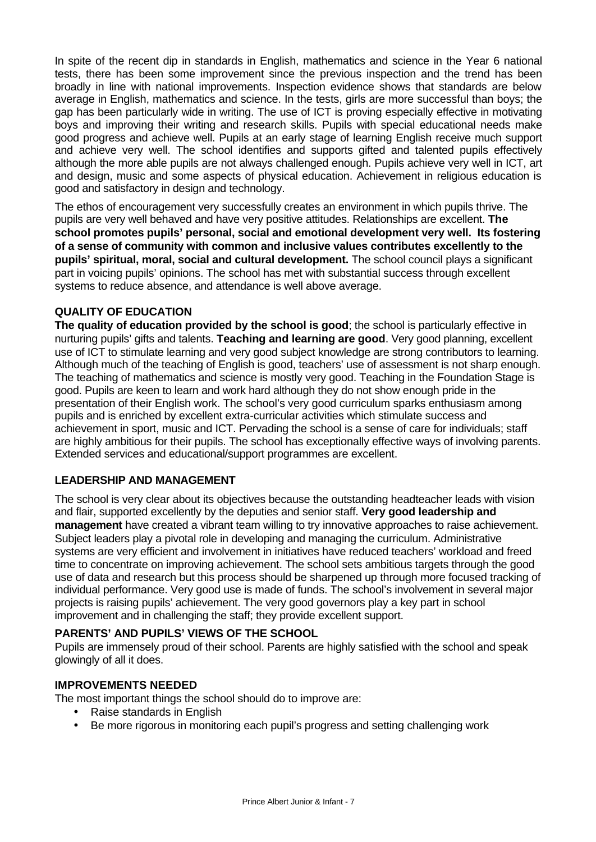In spite of the recent dip in standards in English, mathematics and science in the Year 6 national tests, there has been some improvement since the previous inspection and the trend has been broadly in line with national improvements. Inspection evidence shows that standards are below average in English, mathematics and science. In the tests, girls are more successful than boys; the gap has been particularly wide in writing. The use of ICT is proving especially effective in motivating boys and improving their writing and research skills. Pupils with special educational needs make good progress and achieve well. Pupils at an early stage of learning English receive much support and achieve very well. The school identifies and supports gifted and talented pupils effectively although the more able pupils are not always challenged enough. Pupils achieve very well in ICT, art and design, music and some aspects of physical education. Achievement in religious education is good and satisfactory in design and technology.

The ethos of encouragement very successfully creates an environment in which pupils thrive. The pupils are very well behaved and have very positive attitudes. Relationships are excellent. **The school promotes pupils' personal, social and emotional development very well. Its fostering of a sense of community with common and inclusive values contributes excellently to the pupils' spiritual, moral, social and cultural development.** The school council plays a significant part in voicing pupils' opinions. The school has met with substantial success through excellent systems to reduce absence, and attendance is well above average.

# **QUALITY OF EDUCATION**

**The quality of education provided by the school is good**; the school is particularly effective in nurturing pupils' gifts and talents. **Teaching and learning are good**. Very good planning, excellent use of ICT to stimulate learning and very good subject knowledge are strong contributors to learning. Although much of the teaching of English is good, teachers' use of assessment is not sharp enough. The teaching of mathematics and science is mostly very good. Teaching in the Foundation Stage is good. Pupils are keen to learn and work hard although they do not show enough pride in the presentation of their English work. The school's very good curriculum sparks enthusiasm among pupils and is enriched by excellent extra-curricular activities which stimulate success and achievement in sport, music and ICT. Pervading the school is a sense of care for individuals; staff are highly ambitious for their pupils. The school has exceptionally effective ways of involving parents. Extended services and educational/support programmes are excellent.

## **LEADERSHIP AND MANAGEMENT**

The school is very clear about its objectives because the outstanding headteacher leads with vision and flair, supported excellently by the deputies and senior staff. **Very good leadership and management** have created a vibrant team willing to try innovative approaches to raise achievement. Subject leaders play a pivotal role in developing and managing the curriculum. Administrative systems are very efficient and involvement in initiatives have reduced teachers' workload and freed time to concentrate on improving achievement. The school sets ambitious targets through the good use of data and research but this process should be sharpened up through more focused tracking of individual performance. Very good use is made of funds. The school's involvement in several major projects is raising pupils' achievement. The very good governors play a key part in school improvement and in challenging the staff; they provide excellent support.

## **PARENTS' AND PUPILS' VIEWS OF THE SCHOOL**

Pupils are immensely proud of their school. Parents are highly satisfied with the school and speak glowingly of all it does.

## **IMPROVEMENTS NEEDED**

The most important things the school should do to improve are:

- Raise standards in English
- Be more rigorous in monitoring each pupil's progress and setting challenging work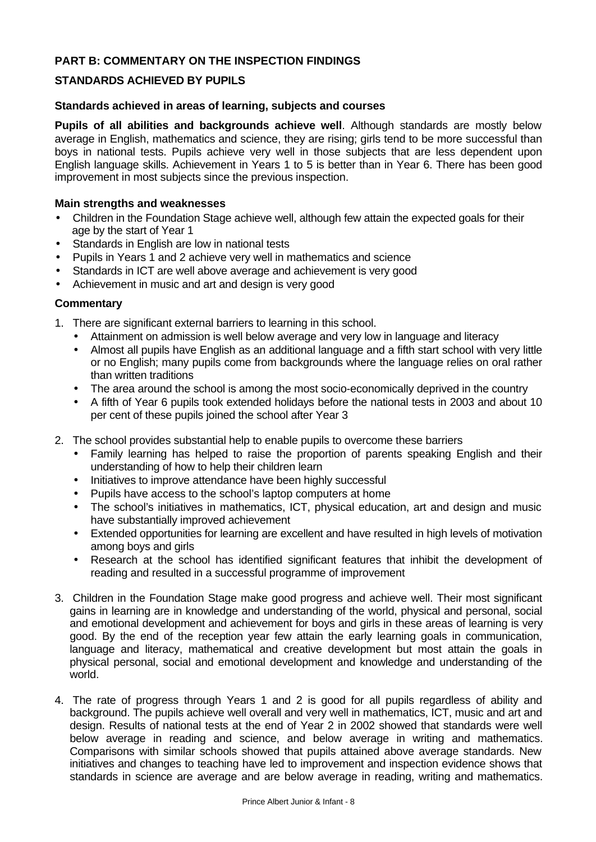# **PART B: COMMENTARY ON THE INSPECTION FINDINGS**

# **STANDARDS ACHIEVED BY PUPILS**

#### **Standards achieved in areas of learning, subjects and courses**

**Pupils of all abilities and backgrounds achieve well**. Although standards are mostly below average in English, mathematics and science, they are rising; girls tend to be more successful than boys in national tests. Pupils achieve very well in those subjects that are less dependent upon English language skills. Achievement in Years 1 to 5 is better than in Year 6. There has been good improvement in most subjects since the previous inspection.

#### **Main strengths and weaknesses**

- Children in the Foundation Stage achieve well, although few attain the expected goals for their age by the start of Year 1
- Standards in English are low in national tests
- Pupils in Years 1 and 2 achieve very well in mathematics and science
- Standards in ICT are well above average and achievement is very good
- Achievement in music and art and design is very good

- 1. There are significant external barriers to learning in this school.
	- Attainment on admission is well below average and very low in language and literacy
	- Almost all pupils have English as an additional language and a fifth start school with very little or no English; many pupils come from backgrounds where the language relies on oral rather than written traditions
	- The area around the school is among the most socio-economically deprived in the country
	- A fifth of Year 6 pupils took extended holidays before the national tests in 2003 and about 10 per cent of these pupils joined the school after Year 3
- 2. The school provides substantial help to enable pupils to overcome these barriers
	- Family learning has helped to raise the proportion of parents speaking English and their understanding of how to help their children learn
	- Initiatives to improve attendance have been highly successful
	- Pupils have access to the school's laptop computers at home
	- The school's initiatives in mathematics, ICT, physical education, art and design and music have substantially improved achievement
	- Extended opportunities for learning are excellent and have resulted in high levels of motivation among boys and girls
	- Research at the school has identified significant features that inhibit the development of reading and resulted in a successful programme of improvement
- 3. Children in the Foundation Stage make good progress and achieve well. Their most significant gains in learning are in knowledge and understanding of the world, physical and personal, social and emotional development and achievement for boys and girls in these areas of learning is very good. By the end of the reception year few attain the early learning goals in communication, language and literacy, mathematical and creative development but most attain the goals in physical personal, social and emotional development and knowledge and understanding of the world.
- 4. The rate of progress through Years 1 and 2 is good for all pupils regardless of ability and background. The pupils achieve well overall and very well in mathematics, ICT, music and art and design. Results of national tests at the end of Year 2 in 2002 showed that standards were well below average in reading and science, and below average in writing and mathematics. Comparisons with similar schools showed that pupils attained above average standards. New initiatives and changes to teaching have led to improvement and inspection evidence shows that standards in science are average and are below average in reading, writing and mathematics.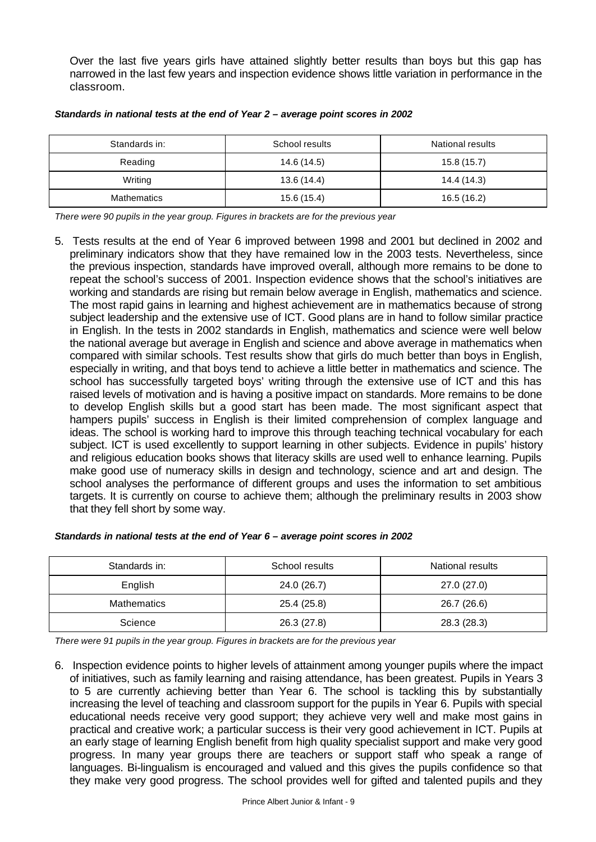Over the last five years girls have attained slightly better results than boys but this gap has narrowed in the last few years and inspection evidence shows little variation in performance in the classroom.

| Standards in:      | School results<br><b>National results</b> |             |
|--------------------|-------------------------------------------|-------------|
| Reading            | 14.6 (14.5)                               | 15.8(15.7)  |
| Writing            | 13.6(14.4)                                | 14.4 (14.3) |
| <b>Mathematics</b> | 15.6 (15.4)                               | 16.5 (16.2) |

#### *Standards in national tests at the end of Year 2 – average point scores in 2002*

*There were 90 pupils in the year group. Figures in brackets are for the previous year*

5. Tests results at the end of Year 6 improved between 1998 and 2001 but declined in 2002 and preliminary indicators show that they have remained low in the 2003 tests. Nevertheless, since the previous inspection, standards have improved overall, although more remains to be done to repeat the school's success of 2001. Inspection evidence shows that the school's initiatives are working and standards are rising but remain below average in English, mathematics and science. The most rapid gains in learning and highest achievement are in mathematics because of strong subject leadership and the extensive use of ICT. Good plans are in hand to follow similar practice in English. In the tests in 2002 standards in English, mathematics and science were well below the national average but average in English and science and above average in mathematics when compared with similar schools. Test results show that girls do much better than boys in English, especially in writing, and that boys tend to achieve a little better in mathematics and science. The school has successfully targeted boys' writing through the extensive use of ICT and this has raised levels of motivation and is having a positive impact on standards. More remains to be done to develop English skills but a good start has been made. The most significant aspect that hampers pupils' success in English is their limited comprehension of complex language and ideas. The school is working hard to improve this through teaching technical vocabulary for each subject. ICT is used excellently to support learning in other subjects. Evidence in pupils' history and religious education books shows that literacy skills are used well to enhance learning. Pupils make good use of numeracy skills in design and technology, science and art and design. The school analyses the performance of different groups and uses the information to set ambitious targets. It is currently on course to achieve them; although the preliminary results in 2003 show that they fell short by some way.

| Standards in:      | School results | National results |
|--------------------|----------------|------------------|
| English            | 24.0 (26.7)    | 27.0 (27.0)      |
| <b>Mathematics</b> | 25.4 (25.8)    | 26.7 (26.6)      |
| Science            | 26.3(27.8)     | 28.3 (28.3)      |

*There were 91 pupils in the year group. Figures in brackets are for the previous year*

6. Inspection evidence points to higher levels of attainment among younger pupils where the impact of initiatives, such as family learning and raising attendance, has been greatest. Pupils in Years 3 to 5 are currently achieving better than Year 6. The school is tackling this by substantially increasing the level of teaching and classroom support for the pupils in Year 6. Pupils with special educational needs receive very good support; they achieve very well and make most gains in practical and creative work; a particular success is their very good achievement in ICT. Pupils at an early stage of learning English benefit from high quality specialist support and make very good progress. In many year groups there are teachers or support staff who speak a range of languages. Bi-lingualism is encouraged and valued and this gives the pupils confidence so that they make very good progress. The school provides well for gifted and talented pupils and they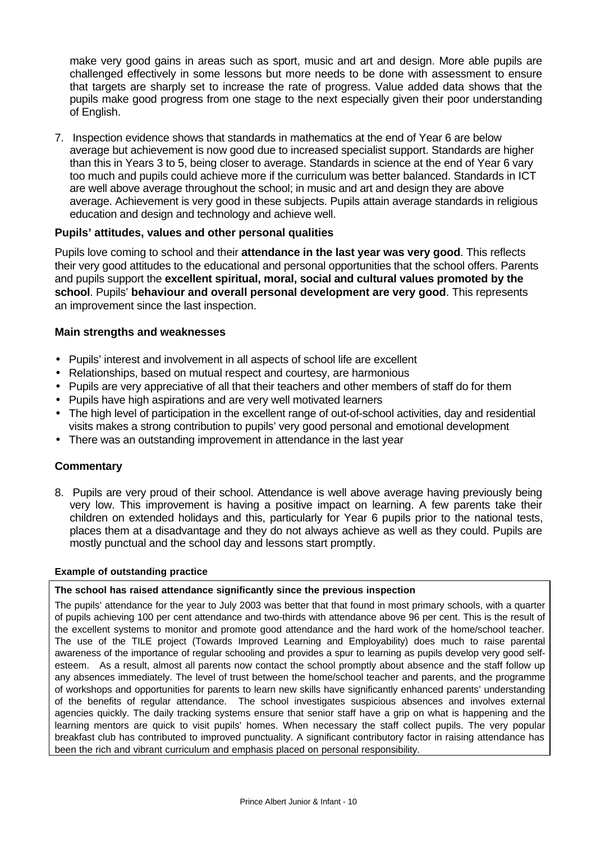make very good gains in areas such as sport, music and art and design. More able pupils are challenged effectively in some lessons but more needs to be done with assessment to ensure that targets are sharply set to increase the rate of progress. Value added data shows that the pupils make good progress from one stage to the next especially given their poor understanding of English.

7. Inspection evidence shows that standards in mathematics at the end of Year 6 are below average but achievement is now good due to increased specialist support. Standards are higher than this in Years 3 to 5, being closer to average. Standards in science at the end of Year 6 vary too much and pupils could achieve more if the curriculum was better balanced. Standards in ICT are well above average throughout the school; in music and art and design they are above average. Achievement is very good in these subjects. Pupils attain average standards in religious education and design and technology and achieve well.

## **Pupils' attitudes, values and other personal qualities**

Pupils love coming to school and their **attendance in the last year was very good**. This reflects their very good attitudes to the educational and personal opportunities that the school offers. Parents and pupils support the **excellent spiritual, moral, social and cultural values promoted by the school**. Pupils' **behaviour and overall personal development are very good**. This represents an improvement since the last inspection.

#### **Main strengths and weaknesses**

- Pupils' interest and involvement in all aspects of school life are excellent
- Relationships, based on mutual respect and courtesy, are harmonious
- Pupils are very appreciative of all that their teachers and other members of staff do for them
- Pupils have high aspirations and are very well motivated learners
- The high level of participation in the excellent range of out-of-school activities, day and residential visits makes a strong contribution to pupils' very good personal and emotional development
- There was an outstanding improvement in attendance in the last year

## **Commentary**

8. Pupils are very proud of their school. Attendance is well above average having previously being very low. This improvement is having a positive impact on learning. A few parents take their children on extended holidays and this, particularly for Year 6 pupils prior to the national tests, places them at a disadvantage and they do not always achieve as well as they could. Pupils are mostly punctual and the school day and lessons start promptly.

#### **Example of outstanding practice**

#### **The school has raised attendance significantly since the previous inspection**

The pupils' attendance for the year to July 2003 was better that that found in most primary schools, with a quarter of pupils achieving 100 per cent attendance and two-thirds with attendance above 96 per cent. This is the result of the excellent systems to monitor and promote good attendance and the hard work of the home/school teacher. The use of the TILE project (Towards Improved Learning and Employability) does much to raise parental awareness of the importance of regular schooling and provides a spur to learning as pupils develop very good selfesteem. As a result, almost all parents now contact the school promptly about absence and the staff follow up any absences immediately. The level of trust between the home/school teacher and parents, and the programme of workshops and opportunities for parents to learn new skills have significantly enhanced parents' understanding of the benefits of regular attendance. The school investigates suspicious absences and involves external agencies quickly. The daily tracking systems ensure that senior staff have a grip on what is happening and the learning mentors are quick to visit pupils' homes. When necessary the staff collect pupils. The very popular breakfast club has contributed to improved punctuality. A significant contributory factor in raising attendance has been the rich and vibrant curriculum and emphasis placed on personal responsibility.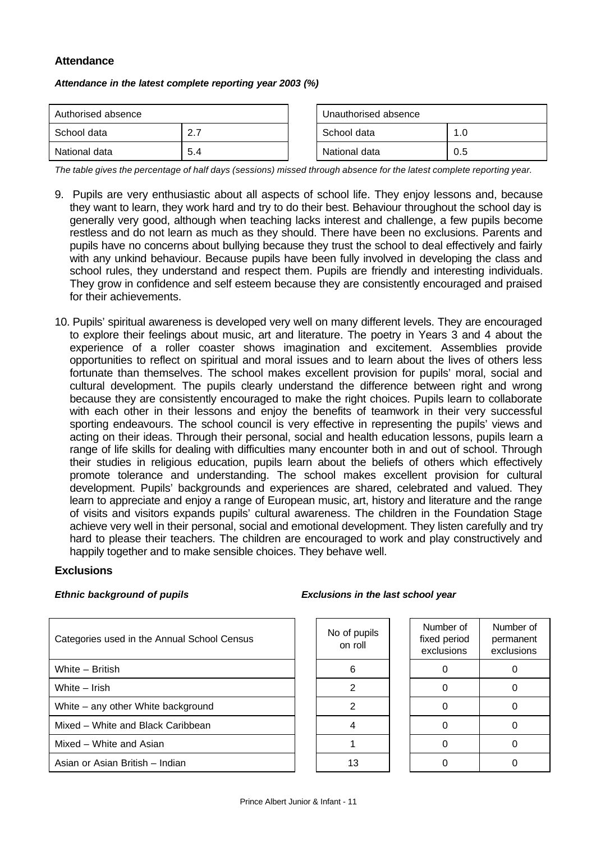## **Attendance**

*Attendance in the latest complete reporting year 2003 (%)*

| Authorised absence      |     | Unauthorised absence |     |  |
|-------------------------|-----|----------------------|-----|--|
| School data<br><u>າ</u> |     | School data          | 1.0 |  |
| National data           | 5.4 | National data        | 0.5 |  |

| Unauthorised absence |     |
|----------------------|-----|
| l School data        | 1.0 |
| National data        | 0.5 |

*The table gives the percentage of half days (sessions) missed through absence for the latest complete reporting year.*

- 9. Pupils are very enthusiastic about all aspects of school life. They enjoy lessons and, because they want to learn, they work hard and try to do their best. Behaviour throughout the school day is generally very good, although when teaching lacks interest and challenge, a few pupils become restless and do not learn as much as they should. There have been no exclusions. Parents and pupils have no concerns about bullying because they trust the school to deal effectively and fairly with any unkind behaviour. Because pupils have been fully involved in developing the class and school rules, they understand and respect them. Pupils are friendly and interesting individuals. They grow in confidence and self esteem because they are consistently encouraged and praised for their achievements.
- 10. Pupils' spiritual awareness is developed very well on many different levels. They are encouraged to explore their feelings about music, art and literature. The poetry in Years 3 and 4 about the experience of a roller coaster shows imagination and excitement. Assemblies provide opportunities to reflect on spiritual and moral issues and to learn about the lives of others less fortunate than themselves. The school makes excellent provision for pupils' moral, social and cultural development. The pupils clearly understand the difference between right and wrong because they are consistently encouraged to make the right choices. Pupils learn to collaborate with each other in their lessons and enjoy the benefits of teamwork in their very successful sporting endeavours. The school council is very effective in representing the pupils' views and acting on their ideas. Through their personal, social and health education lessons, pupils learn a range of life skills for dealing with difficulties many encounter both in and out of school. Through their studies in religious education, pupils learn about the beliefs of others which effectively promote tolerance and understanding. The school makes excellent provision for cultural development. Pupils' backgrounds and experiences are shared, celebrated and valued. They learn to appreciate and enjoy a range of European music, art, history and literature and the range of visits and visitors expands pupils' cultural awareness. The children in the Foundation Stage achieve very well in their personal, social and emotional development. They listen carefully and try hard to please their teachers. The children are encouraged to work and play constructively and happily together and to make sensible choices. They behave well.

#### **Exclusions**

| Categories used in the Annual School Census | No of pupils<br>on roll | Number of<br>fixed period<br>exclusions | Numb<br>perma<br>exclus |
|---------------------------------------------|-------------------------|-----------------------------------------|-------------------------|
| White - British                             | 6                       |                                         | $\Omega$                |
| White - Irish                               | 2                       |                                         | 0                       |
| White – any other White background          |                         |                                         | O                       |
| Mixed – White and Black Caribbean           |                         |                                         | 0                       |
| Mixed - White and Asian                     |                         |                                         | O                       |
| Asian or Asian British - Indian             | 13                      |                                         | O                       |

#### *Ethnic background of pupils Exclusions in the last school year*

| No of pupils<br>on roll | Number of<br>fixed period<br>exclusions | Number of<br>permanent<br>exclusions |
|-------------------------|-----------------------------------------|--------------------------------------|
| 6                       |                                         |                                      |
| 2                       |                                         |                                      |
| 2                       |                                         |                                      |
|                         |                                         |                                      |
|                         |                                         |                                      |
| 13                      |                                         |                                      |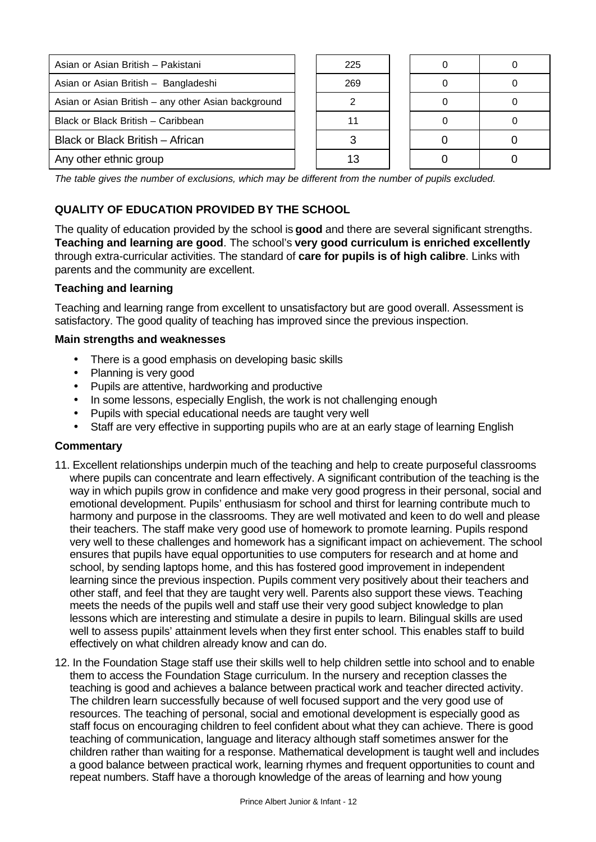| Asian or Asian British - Pakistani                  | 225 |  |  |
|-----------------------------------------------------|-----|--|--|
| Asian or Asian British - Bangladeshi                | 269 |  |  |
| Asian or Asian British - any other Asian background |     |  |  |
| Black or Black British - Caribbean                  |     |  |  |
| Black or Black British - African                    |     |  |  |
| Any other ethnic group                              |     |  |  |

*The table gives the number of exclusions, which may be different from the number of pupils excluded.*

# **QUALITY OF EDUCATION PROVIDED BY THE SCHOOL**

The quality of education provided by the school is **good** and there are several significant strengths. **Teaching and learning are good**. The school's **very good curriculum is enriched excellently** through extra-curricular activities. The standard of **care for pupils is of high calibre**. Links with parents and the community are excellent.

## **Teaching and learning**

Teaching and learning range from excellent to unsatisfactory but are good overall. Assessment is satisfactory. The good quality of teaching has improved since the previous inspection.

#### **Main strengths and weaknesses**

- There is a good emphasis on developing basic skills
- Planning is very good
- Pupils are attentive, hardworking and productive
- In some lessons, especially English, the work is not challenging enough
- Pupils with special educational needs are taught very well
- Staff are very effective in supporting pupils who are at an early stage of learning English

- 11. Excellent relationships underpin much of the teaching and help to create purposeful classrooms where pupils can concentrate and learn effectively. A significant contribution of the teaching is the way in which pupils grow in confidence and make very good progress in their personal, social and emotional development. Pupils' enthusiasm for school and thirst for learning contribute much to harmony and purpose in the classrooms. They are well motivated and keen to do well and please their teachers. The staff make very good use of homework to promote learning. Pupils respond very well to these challenges and homework has a significant impact on achievement. The school ensures that pupils have equal opportunities to use computers for research and at home and school, by sending laptops home, and this has fostered good improvement in independent learning since the previous inspection. Pupils comment very positively about their teachers and other staff, and feel that they are taught very well. Parents also support these views. Teaching meets the needs of the pupils well and staff use their very good subject knowledge to plan lessons which are interesting and stimulate a desire in pupils to learn. Bilingual skills are used well to assess pupils' attainment levels when they first enter school. This enables staff to build effectively on what children already know and can do.
- 12. In the Foundation Stage staff use their skills well to help children settle into school and to enable them to access the Foundation Stage curriculum. In the nursery and reception classes the teaching is good and achieves a balance between practical work and teacher directed activity. The children learn successfully because of well focused support and the very good use of resources. The teaching of personal, social and emotional development is especially good as staff focus on encouraging children to feel confident about what they can achieve. There is good teaching of communication, language and literacy although staff sometimes answer for the children rather than waiting for a response. Mathematical development is taught well and includes a good balance between practical work, learning rhymes and frequent opportunities to count and repeat numbers. Staff have a thorough knowledge of the areas of learning and how young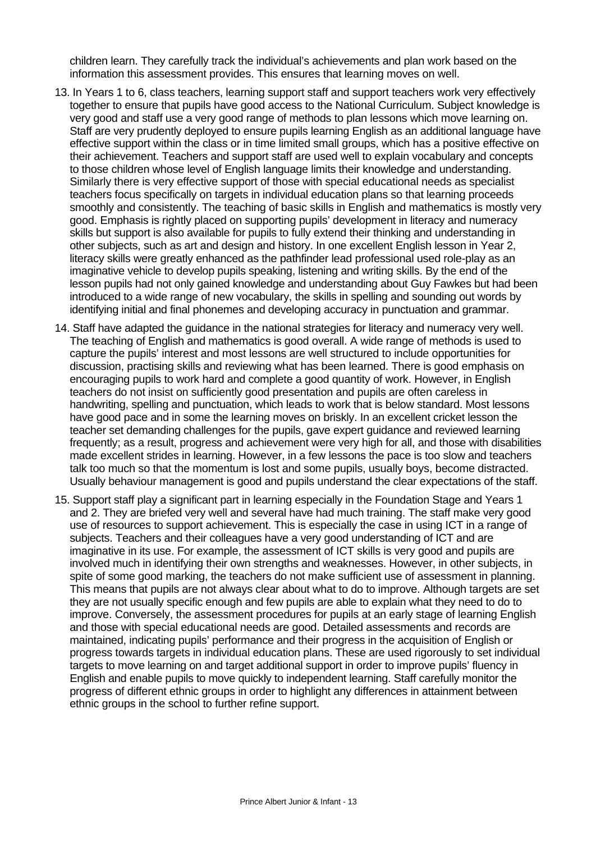children learn. They carefully track the individual's achievements and plan work based on the information this assessment provides. This ensures that learning moves on well.

- 13. In Years 1 to 6, class teachers, learning support staff and support teachers work very effectively together to ensure that pupils have good access to the National Curriculum. Subject knowledge is very good and staff use a very good range of methods to plan lessons which move learning on. Staff are very prudently deployed to ensure pupils learning English as an additional language have effective support within the class or in time limited small groups, which has a positive effective on their achievement. Teachers and support staff are used well to explain vocabulary and concepts to those children whose level of English language limits their knowledge and understanding. Similarly there is very effective support of those with special educational needs as specialist teachers focus specifically on targets in individual education plans so that learning proceeds smoothly and consistently. The teaching of basic skills in English and mathematics is mostly very good. Emphasis is rightly placed on supporting pupils' development in literacy and numeracy skills but support is also available for pupils to fully extend their thinking and understanding in other subjects, such as art and design and history. In one excellent English lesson in Year 2, literacy skills were greatly enhanced as the pathfinder lead professional used role-play as an imaginative vehicle to develop pupils speaking, listening and writing skills. By the end of the lesson pupils had not only gained knowledge and understanding about Guy Fawkes but had been introduced to a wide range of new vocabulary, the skills in spelling and sounding out words by identifying initial and final phonemes and developing accuracy in punctuation and grammar.
- 14. Staff have adapted the guidance in the national strategies for literacy and numeracy very well. The teaching of English and mathematics is good overall. A wide range of methods is used to capture the pupils' interest and most lessons are well structured to include opportunities for discussion, practising skills and reviewing what has been learned. There is good emphasis on encouraging pupils to work hard and complete a good quantity of work. However, in English teachers do not insist on sufficiently good presentation and pupils are often careless in handwriting, spelling and punctuation, which leads to work that is below standard. Most lessons have good pace and in some the learning moves on briskly. In an excellent cricket lesson the teacher set demanding challenges for the pupils, gave expert guidance and reviewed learning frequently; as a result, progress and achievement were very high for all, and those with disabilities made excellent strides in learning. However, in a few lessons the pace is too slow and teachers talk too much so that the momentum is lost and some pupils, usually boys, become distracted. Usually behaviour management is good and pupils understand the clear expectations of the staff.
- 15. Support staff play a significant part in learning especially in the Foundation Stage and Years 1 and 2. They are briefed very well and several have had much training. The staff make very good use of resources to support achievement. This is especially the case in using ICT in a range of subjects. Teachers and their colleagues have a very good understanding of ICT and are imaginative in its use. For example, the assessment of ICT skills is very good and pupils are involved much in identifying their own strengths and weaknesses. However, in other subjects, in spite of some good marking, the teachers do not make sufficient use of assessment in planning. This means that pupils are not always clear about what to do to improve. Although targets are set they are not usually specific enough and few pupils are able to explain what they need to do to improve. Conversely, the assessment procedures for pupils at an early stage of learning English and those with special educational needs are good. Detailed assessments and records are maintained, indicating pupils' performance and their progress in the acquisition of English or progress towards targets in individual education plans. These are used rigorously to set individual targets to move learning on and target additional support in order to improve pupils' fluency in English and enable pupils to move quickly to independent learning. Staff carefully monitor the progress of different ethnic groups in order to highlight any differences in attainment between ethnic groups in the school to further refine support.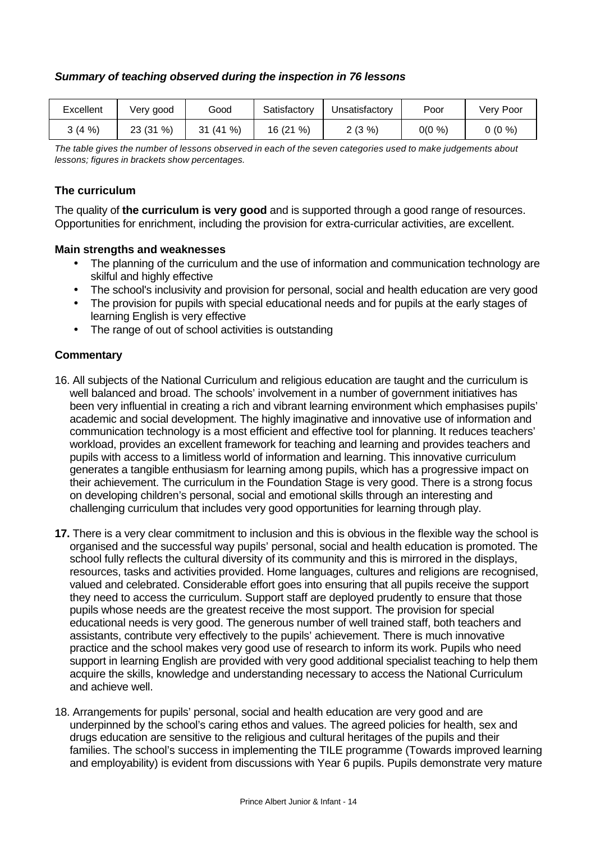# *Summary of teaching observed during the inspection in 76 lessons*

| Excellent | Very good    | Good      | Satisfactory   | Jnsatisfactory | Poor      | Verv Poor |
|-----------|--------------|-----------|----------------|----------------|-----------|-----------|
| 3(4%      | %)<br>23 (31 | 31 (41 %) | $\%$<br>16 (21 | $2(3\%)$       | $0(0\% )$ | $0(0\%)$  |

*The table gives the number of lessons observed in each of the seven categories used to make judgements about lessons; figures in brackets show percentages.*

# **The curriculum**

The quality of **the curriculum is very good** and is supported through a good range of resources. Opportunities for enrichment, including the provision for extra-curricular activities, are excellent.

## **Main strengths and weaknesses**

- The planning of the curriculum and the use of information and communication technology are skilful and highly effective
- The school's inclusivity and provision for personal, social and health education are very good
- The provision for pupils with special educational needs and for pupils at the early stages of learning English is very effective
- The range of out of school activities is outstanding

- 16. All subjects of the National Curriculum and religious education are taught and the curriculum is well balanced and broad. The schools' involvement in a number of government initiatives has been very influential in creating a rich and vibrant learning environment which emphasises pupils' academic and social development. The highly imaginative and innovative use of information and communication technology is a most efficient and effective tool for planning. It reduces teachers' workload, provides an excellent framework for teaching and learning and provides teachers and pupils with access to a limitless world of information and learning. This innovative curriculum generates a tangible enthusiasm for learning among pupils, which has a progressive impact on their achievement. The curriculum in the Foundation Stage is very good. There is a strong focus on developing children's personal, social and emotional skills through an interesting and challenging curriculum that includes very good opportunities for learning through play.
- **17.** There is a very clear commitment to inclusion and this is obvious in the flexible way the school is organised and the successful way pupils' personal, social and health education is promoted. The school fully reflects the cultural diversity of its community and this is mirrored in the displays, resources, tasks and activities provided. Home languages, cultures and religions are recognised, valued and celebrated. Considerable effort goes into ensuring that all pupils receive the support they need to access the curriculum. Support staff are deployed prudently to ensure that those pupils whose needs are the greatest receive the most support. The provision for special educational needs is very good. The generous number of well trained staff, both teachers and assistants, contribute very effectively to the pupils' achievement. There is much innovative practice and the school makes very good use of research to inform its work. Pupils who need support in learning English are provided with very good additional specialist teaching to help them acquire the skills, knowledge and understanding necessary to access the National Curriculum and achieve well.
- 18. Arrangements for pupils' personal, social and health education are very good and are underpinned by the school's caring ethos and values. The agreed policies for health, sex and drugs education are sensitive to the religious and cultural heritages of the pupils and their families. The school's success in implementing the TILE programme (Towards improved learning and employability) is evident from discussions with Year 6 pupils. Pupils demonstrate very mature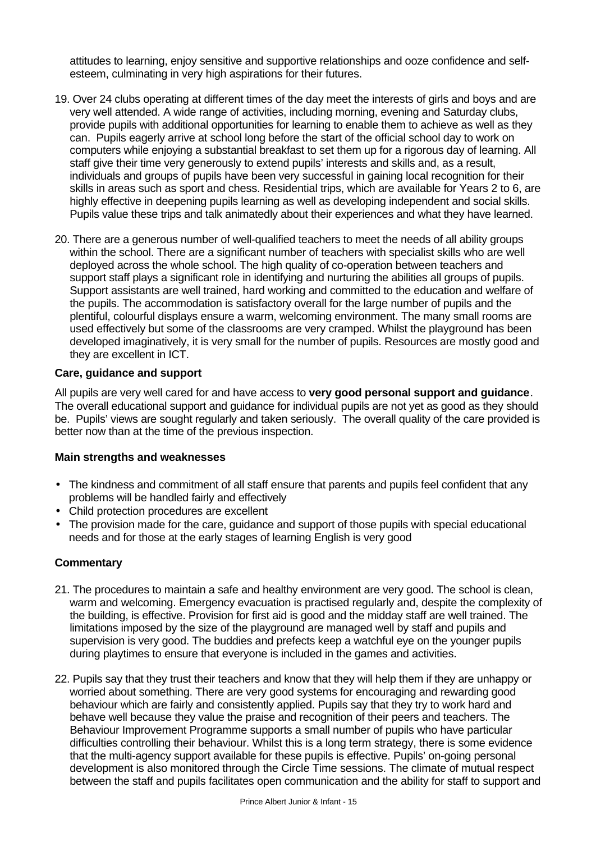attitudes to learning, enjoy sensitive and supportive relationships and ooze confidence and selfesteem, culminating in very high aspirations for their futures.

- 19. Over 24 clubs operating at different times of the day meet the interests of girls and boys and are very well attended. A wide range of activities, including morning, evening and Saturday clubs, provide pupils with additional opportunities for learning to enable them to achieve as well as they can. Pupils eagerly arrive at school long before the start of the official school day to work on computers while enjoying a substantial breakfast to set them up for a rigorous day of learning. All staff give their time very generously to extend pupils' interests and skills and, as a result, individuals and groups of pupils have been very successful in gaining local recognition for their skills in areas such as sport and chess. Residential trips, which are available for Years 2 to 6, are highly effective in deepening pupils learning as well as developing independent and social skills. Pupils value these trips and talk animatedly about their experiences and what they have learned.
- 20. There are a generous number of well-qualified teachers to meet the needs of all ability groups within the school. There are a significant number of teachers with specialist skills who are well deployed across the whole school. The high quality of co-operation between teachers and support staff plays a significant role in identifying and nurturing the abilities all groups of pupils. Support assistants are well trained, hard working and committed to the education and welfare of the pupils. The accommodation is satisfactory overall for the large number of pupils and the plentiful, colourful displays ensure a warm, welcoming environment. The many small rooms are used effectively but some of the classrooms are very cramped. Whilst the playground has been developed imaginatively, it is very small for the number of pupils. Resources are mostly good and they are excellent in ICT.

## **Care, guidance and support**

All pupils are very well cared for and have access to **very good personal support and guidance**. The overall educational support and guidance for individual pupils are not yet as good as they should be. Pupils' views are sought regularly and taken seriously. The overall quality of the care provided is better now than at the time of the previous inspection.

## **Main strengths and weaknesses**

- The kindness and commitment of all staff ensure that parents and pupils feel confident that any problems will be handled fairly and effectively
- Child protection procedures are excellent
- The provision made for the care, guidance and support of those pupils with special educational needs and for those at the early stages of learning English is very good

- 21. The procedures to maintain a safe and healthy environment are very good. The school is clean, warm and welcoming. Emergency evacuation is practised regularly and, despite the complexity of the building, is effective. Provision for first aid is good and the midday staff are well trained. The limitations imposed by the size of the playground are managed well by staff and pupils and supervision is very good. The buddies and prefects keep a watchful eye on the younger pupils during playtimes to ensure that everyone is included in the games and activities.
- 22. Pupils say that they trust their teachers and know that they will help them if they are unhappy or worried about something. There are very good systems for encouraging and rewarding good behaviour which are fairly and consistently applied. Pupils say that they try to work hard and behave well because they value the praise and recognition of their peers and teachers. The Behaviour Improvement Programme supports a small number of pupils who have particular difficulties controlling their behaviour. Whilst this is a long term strategy, there is some evidence that the multi-agency support available for these pupils is effective. Pupils' on-going personal development is also monitored through the Circle Time sessions. The climate of mutual respect between the staff and pupils facilitates open communication and the ability for staff to support and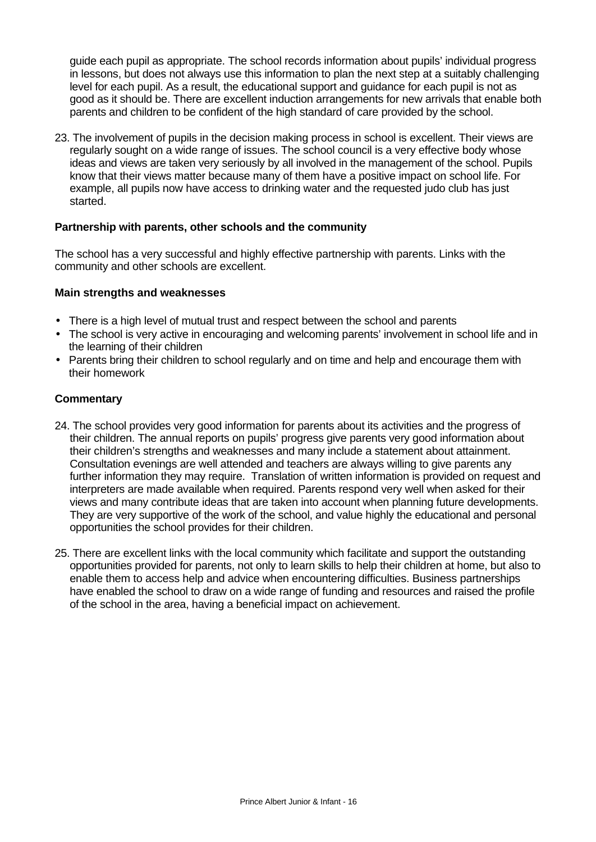guide each pupil as appropriate. The school records information about pupils' individual progress in lessons, but does not always use this information to plan the next step at a suitably challenging level for each pupil. As a result, the educational support and guidance for each pupil is not as good as it should be. There are excellent induction arrangements for new arrivals that enable both parents and children to be confident of the high standard of care provided by the school.

23. The involvement of pupils in the decision making process in school is excellent. Their views are regularly sought on a wide range of issues. The school council is a very effective body whose ideas and views are taken very seriously by all involved in the management of the school. Pupils know that their views matter because many of them have a positive impact on school life. For example, all pupils now have access to drinking water and the requested judo club has just started.

## **Partnership with parents, other schools and the community**

The school has a very successful and highly effective partnership with parents. Links with the community and other schools are excellent.

#### **Main strengths and weaknesses**

- There is a high level of mutual trust and respect between the school and parents
- The school is very active in encouraging and welcoming parents' involvement in school life and in the learning of their children
- Parents bring their children to school regularly and on time and help and encourage them with their homework

- 24. The school provides very good information for parents about its activities and the progress of their children. The annual reports on pupils' progress give parents very good information about their children's strengths and weaknesses and many include a statement about attainment. Consultation evenings are well attended and teachers are always willing to give parents any further information they may require. Translation of written information is provided on request and interpreters are made available when required. Parents respond very well when asked for their views and many contribute ideas that are taken into account when planning future developments. They are very supportive of the work of the school, and value highly the educational and personal opportunities the school provides for their children.
- 25. There are excellent links with the local community which facilitate and support the outstanding opportunities provided for parents, not only to learn skills to help their children at home, but also to enable them to access help and advice when encountering difficulties. Business partnerships have enabled the school to draw on a wide range of funding and resources and raised the profile of the school in the area, having a beneficial impact on achievement.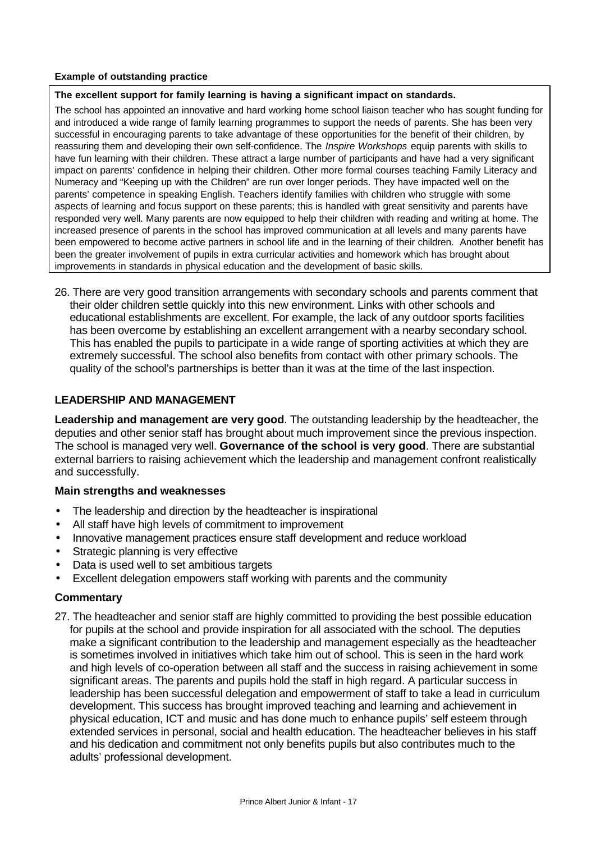#### **Example of outstanding practice**

#### **The excellent support for family learning is having a significant impact on standards.**

The school has appointed an innovative and hard working home school liaison teacher who has sought funding for and introduced a wide range of family learning programmes to support the needs of parents. She has been very successful in encouraging parents to take advantage of these opportunities for the benefit of their children, by reassuring them and developing their own self-confidence. The *Inspire Workshops* equip parents with skills to have fun learning with their children. These attract a large number of participants and have had a very significant impact on parents' confidence in helping their children. Other more formal courses teaching Family Literacy and Numeracy and "Keeping up with the Children" are run over longer periods. They have impacted well on the parents' competence in speaking English. Teachers identify families with children who struggle with some aspects of learning and focus support on these parents; this is handled with great sensitivity and parents have responded very well. Many parents are now equipped to help their children with reading and writing at home. The increased presence of parents in the school has improved communication at all levels and many parents have been empowered to become active partners in school life and in the learning of their children. Another benefit has been the greater involvement of pupils in extra curricular activities and homework which has brought about improvements in standards in physical education and the development of basic skills.

26. There are very good transition arrangements with secondary schools and parents comment that their older children settle quickly into this new environment. Links with other schools and educational establishments are excellent. For example, the lack of any outdoor sports facilities has been overcome by establishing an excellent arrangement with a nearby secondary school. This has enabled the pupils to participate in a wide range of sporting activities at which they are extremely successful. The school also benefits from contact with other primary schools. The quality of the school's partnerships is better than it was at the time of the last inspection.

# **LEADERSHIP AND MANAGEMENT**

**Leadership and management are very good**. The outstanding leadership by the headteacher, the deputies and other senior staff has brought about much improvement since the previous inspection. The school is managed very well. **Governance of the school is very good**. There are substantial external barriers to raising achievement which the leadership and management confront realistically and successfully.

#### **Main strengths and weaknesses**

- The leadership and direction by the headteacher is inspirational
- All staff have high levels of commitment to improvement
- Innovative management practices ensure staff development and reduce workload
- Strategic planning is very effective
- Data is used well to set ambitious targets
- Excellent delegation empowers staff working with parents and the community

## **Commentary**

27. The headteacher and senior staff are highly committed to providing the best possible education for pupils at the school and provide inspiration for all associated with the school. The deputies make a significant contribution to the leadership and management especially as the headteacher is sometimes involved in initiatives which take him out of school. This is seen in the hard work and high levels of co-operation between all staff and the success in raising achievement in some significant areas. The parents and pupils hold the staff in high regard. A particular success in leadership has been successful delegation and empowerment of staff to take a lead in curriculum development. This success has brought improved teaching and learning and achievement in physical education, ICT and music and has done much to enhance pupils' self esteem through extended services in personal, social and health education. The headteacher believes in his staff and his dedication and commitment not only benefits pupils but also contributes much to the adults' professional development.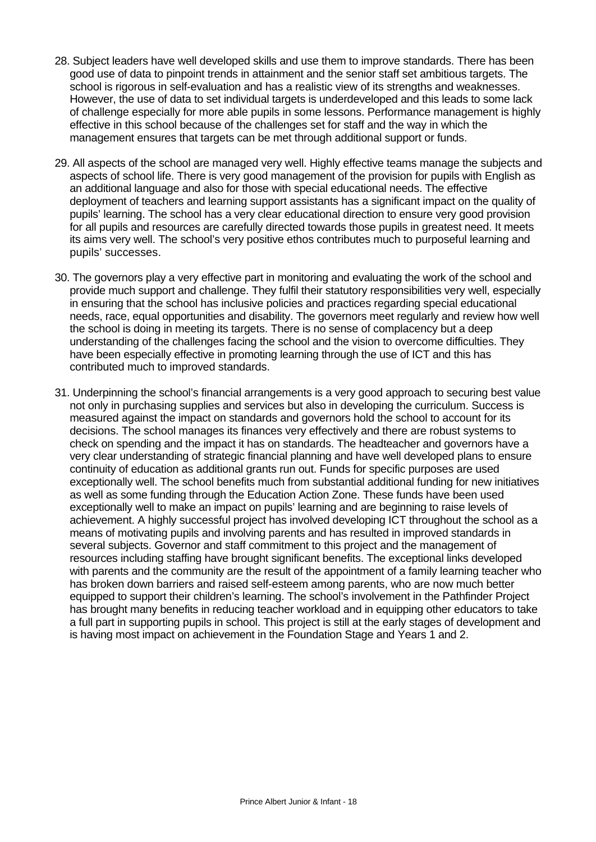- 28. Subject leaders have well developed skills and use them to improve standards. There has been good use of data to pinpoint trends in attainment and the senior staff set ambitious targets. The school is rigorous in self-evaluation and has a realistic view of its strengths and weaknesses. However, the use of data to set individual targets is underdeveloped and this leads to some lack of challenge especially for more able pupils in some lessons. Performance management is highly effective in this school because of the challenges set for staff and the way in which the management ensures that targets can be met through additional support or funds.
- 29. All aspects of the school are managed very well. Highly effective teams manage the subjects and aspects of school life. There is very good management of the provision for pupils with English as an additional language and also for those with special educational needs. The effective deployment of teachers and learning support assistants has a significant impact on the quality of pupils' learning. The school has a very clear educational direction to ensure very good provision for all pupils and resources are carefully directed towards those pupils in greatest need. It meets its aims very well. The school's very positive ethos contributes much to purposeful learning and pupils' successes.
- 30. The governors play a very effective part in monitoring and evaluating the work of the school and provide much support and challenge. They fulfil their statutory responsibilities very well, especially in ensuring that the school has inclusive policies and practices regarding special educational needs, race, equal opportunities and disability. The governors meet regularly and review how well the school is doing in meeting its targets. There is no sense of complacency but a deep understanding of the challenges facing the school and the vision to overcome difficulties. They have been especially effective in promoting learning through the use of ICT and this has contributed much to improved standards.
- 31. Underpinning the school's financial arrangements is a very good approach to securing best value not only in purchasing supplies and services but also in developing the curriculum. Success is measured against the impact on standards and governors hold the school to account for its decisions. The school manages its finances very effectively and there are robust systems to check on spending and the impact it has on standards. The headteacher and governors have a very clear understanding of strategic financial planning and have well developed plans to ensure continuity of education as additional grants run out. Funds for specific purposes are used exceptionally well. The school benefits much from substantial additional funding for new initiatives as well as some funding through the Education Action Zone. These funds have been used exceptionally well to make an impact on pupils' learning and are beginning to raise levels of achievement. A highly successful project has involved developing ICT throughout the school as a means of motivating pupils and involving parents and has resulted in improved standards in several subjects. Governor and staff commitment to this project and the management of resources including staffing have brought significant benefits. The exceptional links developed with parents and the community are the result of the appointment of a family learning teacher who has broken down barriers and raised self-esteem among parents, who are now much better equipped to support their children's learning. The school's involvement in the Pathfinder Project has brought many benefits in reducing teacher workload and in equipping other educators to take a full part in supporting pupils in school. This project is still at the early stages of development and is having most impact on achievement in the Foundation Stage and Years 1 and 2.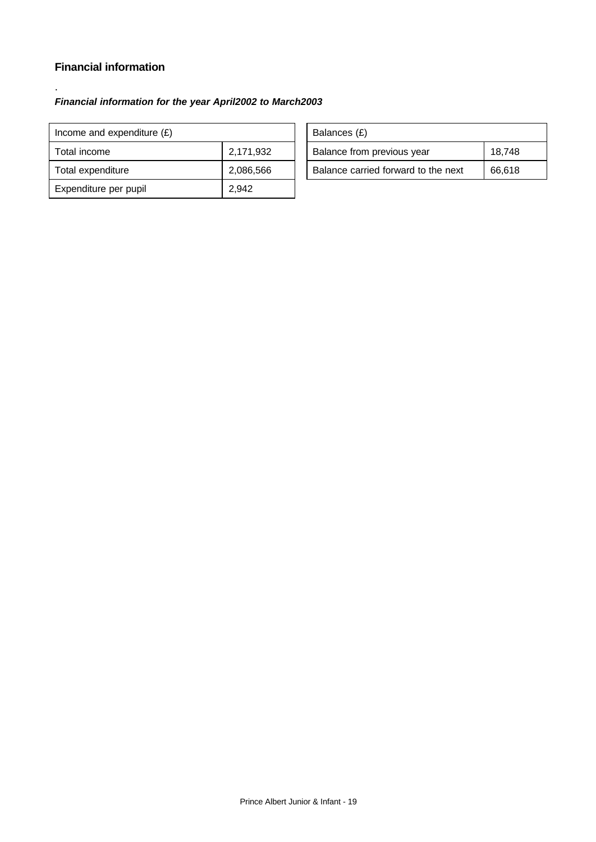# **Financial information**

.

# *Financial information for the year April2002 to March2003*

| Income and expenditure $(E)$ |           |  | Balances (£)                        |        |
|------------------------------|-----------|--|-------------------------------------|--------|
| Total income                 | 2,171,932 |  | Balance from previous year          | 18,748 |
| Total expenditure            | 2,086,566 |  | Balance carried forward to the next | 66,618 |
| Expenditure per pupil        | 2.942     |  |                                     |        |

| Balances (£)                        |        |  |  |  |
|-------------------------------------|--------|--|--|--|
| Balance from previous year          | 18,748 |  |  |  |
| Balance carried forward to the next | 66.618 |  |  |  |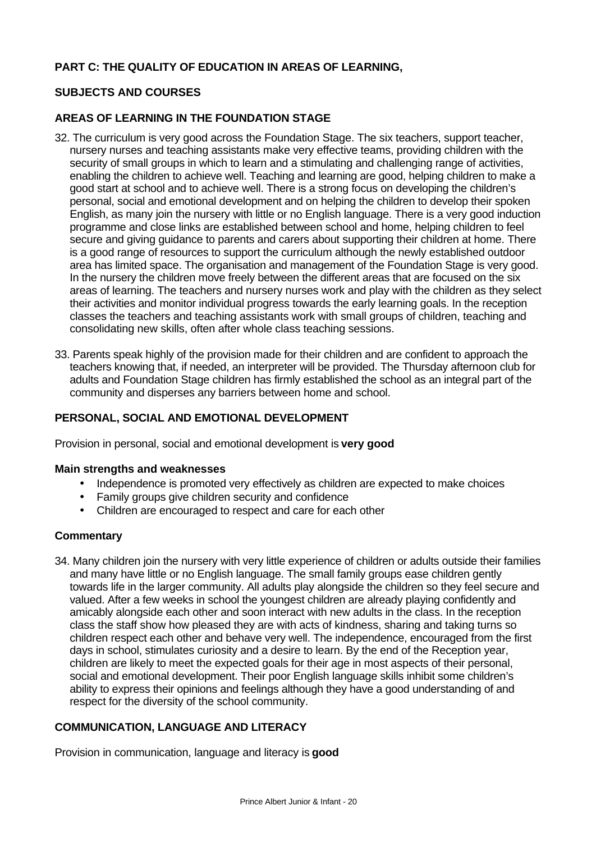# **PART C: THE QUALITY OF EDUCATION IN AREAS OF LEARNING,**

# **SUBJECTS AND COURSES**

# **AREAS OF LEARNING IN THE FOUNDATION STAGE**

- 32. The curriculum is very good across the Foundation Stage. The six teachers, support teacher, nursery nurses and teaching assistants make very effective teams, providing children with the security of small groups in which to learn and a stimulating and challenging range of activities, enabling the children to achieve well. Teaching and learning are good, helping children to make a good start at school and to achieve well. There is a strong focus on developing the children's personal, social and emotional development and on helping the children to develop their spoken English, as many join the nursery with little or no English language. There is a very good induction programme and close links are established between school and home, helping children to feel secure and giving guidance to parents and carers about supporting their children at home. There is a good range of resources to support the curriculum although the newly established outdoor area has limited space. The organisation and management of the Foundation Stage is very good. In the nursery the children move freely between the different areas that are focused on the six areas of learning. The teachers and nursery nurses work and play with the children as they select their activities and monitor individual progress towards the early learning goals. In the reception classes the teachers and teaching assistants work with small groups of children, teaching and consolidating new skills, often after whole class teaching sessions.
- 33. Parents speak highly of the provision made for their children and are confident to approach the teachers knowing that, if needed, an interpreter will be provided. The Thursday afternoon club for adults and Foundation Stage children has firmly established the school as an integral part of the community and disperses any barriers between home and school.

## **PERSONAL, SOCIAL AND EMOTIONAL DEVELOPMENT**

Provision in personal, social and emotional development is **very good**

#### **Main strengths and weaknesses**

- Independence is promoted very effectively as children are expected to make choices
- Family groups give children security and confidence
- Children are encouraged to respect and care for each other

#### **Commentary**

34. Many children join the nursery with very little experience of children or adults outside their families and many have little or no English language. The small family groups ease children gently towards life in the larger community. All adults play alongside the children so they feel secure and valued. After a few weeks in school the youngest children are already playing confidently and amicably alongside each other and soon interact with new adults in the class. In the reception class the staff show how pleased they are with acts of kindness, sharing and taking turns so children respect each other and behave very well. The independence, encouraged from the first days in school, stimulates curiosity and a desire to learn. By the end of the Reception year, children are likely to meet the expected goals for their age in most aspects of their personal, social and emotional development. Their poor English language skills inhibit some children's ability to express their opinions and feelings although they have a good understanding of and respect for the diversity of the school community.

# **COMMUNICATION, LANGUAGE AND LITERACY**

Provision in communication, language and literacy is **good**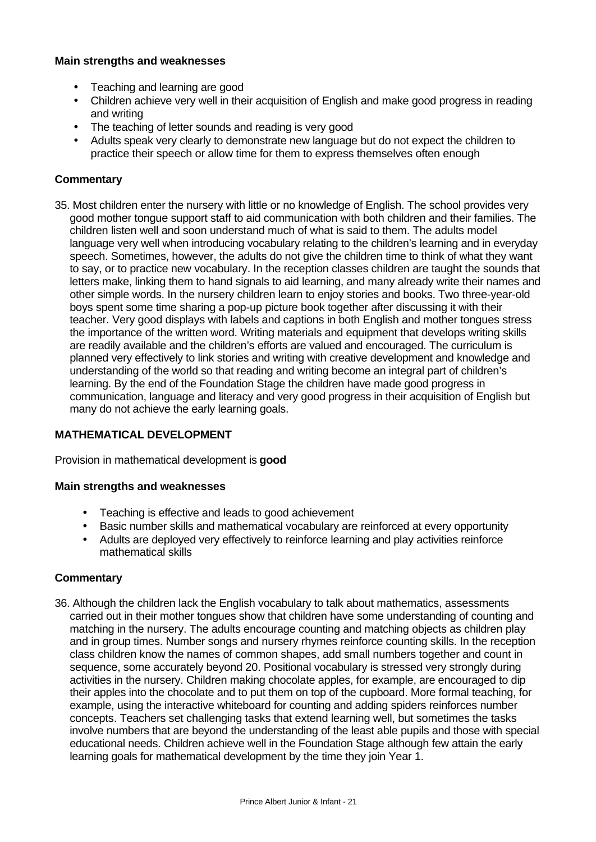## **Main strengths and weaknesses**

- Teaching and learning are good
- Children achieve very well in their acquisition of English and make good progress in reading and writing
- The teaching of letter sounds and reading is very good
- Adults speak very clearly to demonstrate new language but do not expect the children to practice their speech or allow time for them to express themselves often enough

## **Commentary**

35. Most children enter the nursery with little or no knowledge of English. The school provides very good mother tongue support staff to aid communication with both children and their families. The children listen well and soon understand much of what is said to them. The adults model language very well when introducing vocabulary relating to the children's learning and in everyday speech. Sometimes, however, the adults do not give the children time to think of what they want to say, or to practice new vocabulary. In the reception classes children are taught the sounds that letters make, linking them to hand signals to aid learning, and many already write their names and other simple words. In the nursery children learn to enjoy stories and books. Two three-year-old boys spent some time sharing a pop-up picture book together after discussing it with their teacher. Very good displays with labels and captions in both English and mother tongues stress the importance of the written word. Writing materials and equipment that develops writing skills are readily available and the children's efforts are valued and encouraged. The curriculum is planned very effectively to link stories and writing with creative development and knowledge and understanding of the world so that reading and writing become an integral part of children's learning. By the end of the Foundation Stage the children have made good progress in communication, language and literacy and very good progress in their acquisition of English but many do not achieve the early learning goals.

# **MATHEMATICAL DEVELOPMENT**

Provision in mathematical development is **good**

## **Main strengths and weaknesses**

- Teaching is effective and leads to good achievement
- Basic number skills and mathematical vocabulary are reinforced at every opportunity
- Adults are deployed very effectively to reinforce learning and play activities reinforce mathematical skills

# **Commentary**

36. Although the children lack the English vocabulary to talk about mathematics, assessments carried out in their mother tongues show that children have some understanding of counting and matching in the nursery. The adults encourage counting and matching objects as children play and in group times. Number songs and nursery rhymes reinforce counting skills. In the reception class children know the names of common shapes, add small numbers together and count in sequence, some accurately beyond 20. Positional vocabulary is stressed very strongly during activities in the nursery. Children making chocolate apples, for example, are encouraged to dip their apples into the chocolate and to put them on top of the cupboard. More formal teaching, for example, using the interactive whiteboard for counting and adding spiders reinforces number concepts. Teachers set challenging tasks that extend learning well, but sometimes the tasks involve numbers that are beyond the understanding of the least able pupils and those with special educational needs. Children achieve well in the Foundation Stage although few attain the early learning goals for mathematical development by the time they join Year 1.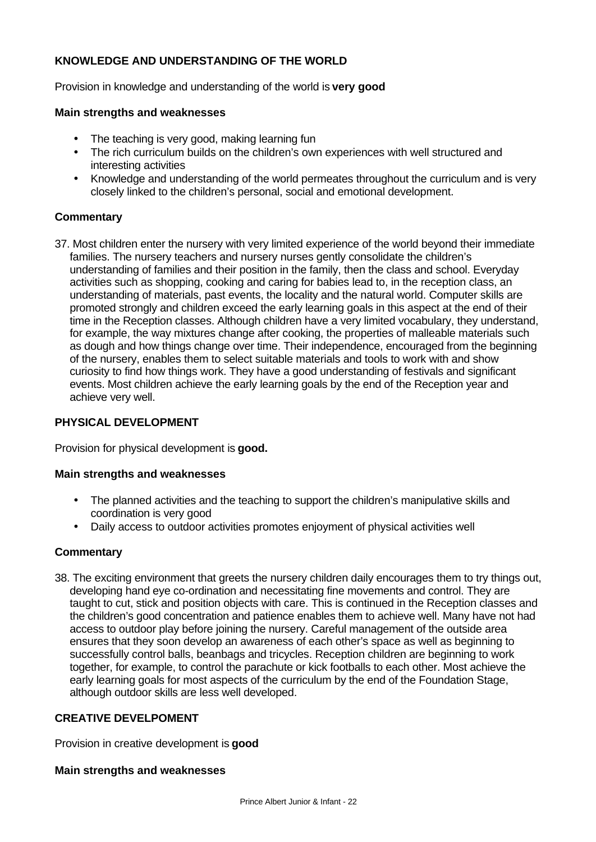# **KNOWLEDGE AND UNDERSTANDING OF THE WORLD**

Provision in knowledge and understanding of the world is **very good**

#### **Main strengths and weaknesses**

- The teaching is very good, making learning fun
- The rich curriculum builds on the children's own experiences with well structured and interesting activities
- Knowledge and understanding of the world permeates throughout the curriculum and is very closely linked to the children's personal, social and emotional development.

## **Commentary**

37. Most children enter the nursery with very limited experience of the world beyond their immediate families. The nursery teachers and nursery nurses gently consolidate the children's understanding of families and their position in the family, then the class and school. Everyday activities such as shopping, cooking and caring for babies lead to, in the reception class, an understanding of materials, past events, the locality and the natural world. Computer skills are promoted strongly and children exceed the early learning goals in this aspect at the end of their time in the Reception classes. Although children have a very limited vocabulary, they understand, for example, the way mixtures change after cooking, the properties of malleable materials such as dough and how things change over time. Their independence, encouraged from the beginning of the nursery, enables them to select suitable materials and tools to work with and show curiosity to find how things work. They have a good understanding of festivals and significant events. Most children achieve the early learning goals by the end of the Reception year and achieve very well.

## **PHYSICAL DEVELOPMENT**

Provision for physical development is **good.**

#### **Main strengths and weaknesses**

- The planned activities and the teaching to support the children's manipulative skills and coordination is very good
- Daily access to outdoor activities promotes enjoyment of physical activities well

# **Commentary**

38. The exciting environment that greets the nursery children daily encourages them to try things out, developing hand eye co-ordination and necessitating fine movements and control. They are taught to cut, stick and position objects with care. This is continued in the Reception classes and the children's good concentration and patience enables them to achieve well. Many have not had access to outdoor play before joining the nursery. Careful management of the outside area ensures that they soon develop an awareness of each other's space as well as beginning to successfully control balls, beanbags and tricycles. Reception children are beginning to work together, for example, to control the parachute or kick footballs to each other. Most achieve the early learning goals for most aspects of the curriculum by the end of the Foundation Stage, although outdoor skills are less well developed.

## **CREATIVE DEVELPOMENT**

Provision in creative development is **good**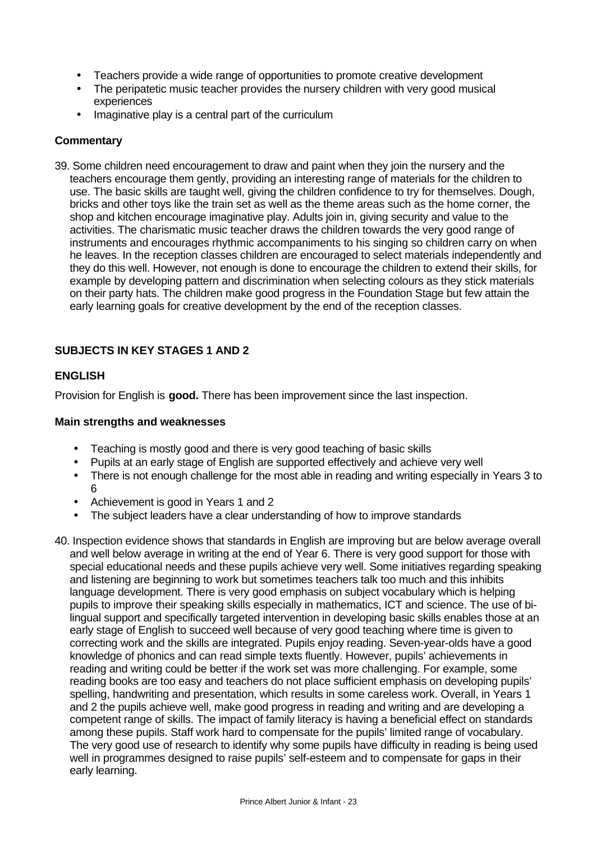- Teachers provide a wide range of opportunities to promote creative development
- The peripatetic music teacher provides the nursery children with very good musical experiences
- Imaginative play is a central part of the curriculum

## **Commentary**

39. Some children need encouragement to draw and paint when they join the nursery and the teachers encourage them gently, providing an interesting range of materials for the children to use. The basic skills are taught well, giving the children confidence to try for themselves. Dough, bricks and other toys like the train set as well as the theme areas such as the home corner, the shop and kitchen encourage imaginative play. Adults join in, giving security and value to the activities. The charismatic music teacher draws the children towards the very good range of instruments and encourages rhythmic accompaniments to his singing so children carry on when he leaves. In the reception classes children are encouraged to select materials independently and they do this well. However, not enough is done to encourage the children to extend their skills, for example by developing pattern and discrimination when selecting colours as they stick materials on their party hats. The children make good progress in the Foundation Stage but few attain the early learning goals for creative development by the end of the reception classes.

# **SUBJECTS IN KEY STAGES 1 AND 2**

# **ENGLISH**

Provision for English is **good.** There has been improvement since the last inspection.

- Teaching is mostly good and there is very good teaching of basic skills
- Pupils at an early stage of English are supported effectively and achieve very well
- There is not enough challenge for the most able in reading and writing especially in Years 3 to 6
- Achievement is good in Years 1 and 2
- The subject leaders have a clear understanding of how to improve standards
- 40. Inspection evidence shows that standards in English are improving but are below average overall and well below average in writing at the end of Year 6. There is very good support for those with special educational needs and these pupils achieve very well. Some initiatives regarding speaking and listening are beginning to work but sometimes teachers talk too much and this inhibits language development. There is very good emphasis on subject vocabulary which is helping pupils to improve their speaking skills especially in mathematics, ICT and science. The use of bilingual support and specifically targeted intervention in developing basic skills enables those at an early stage of English to succeed well because of very good teaching where time is given to correcting work and the skills are integrated. Pupils enjoy reading. Seven-year-olds have a good knowledge of phonics and can read simple texts fluently. However, pupils' achievements in reading and writing could be better if the work set was more challenging. For example, some reading books are too easy and teachers do not place sufficient emphasis on developing pupils' spelling, handwriting and presentation, which results in some careless work. Overall, in Years 1 and 2 the pupils achieve well, make good progress in reading and writing and are developing a competent range of skills. The impact of family literacy is having a beneficial effect on standards among these pupils. Staff work hard to compensate for the pupils' limited range of vocabulary. The very good use of research to identify why some pupils have difficulty in reading is being used well in programmes designed to raise pupils' self-esteem and to compensate for gaps in their early learning.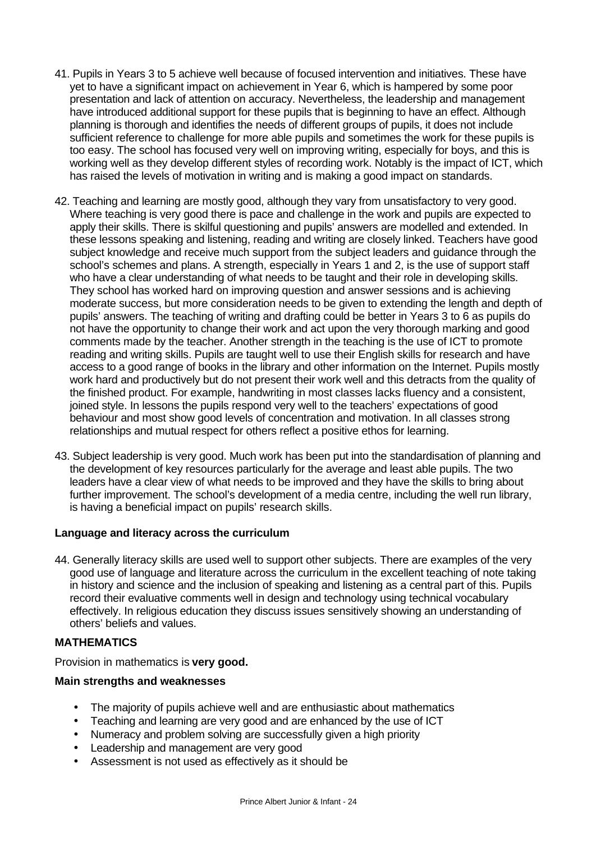- 41. Pupils in Years 3 to 5 achieve well because of focused intervention and initiatives. These have yet to have a significant impact on achievement in Year 6, which is hampered by some poor presentation and lack of attention on accuracy. Nevertheless, the leadership and management have introduced additional support for these pupils that is beginning to have an effect. Although planning is thorough and identifies the needs of different groups of pupils, it does not include sufficient reference to challenge for more able pupils and sometimes the work for these pupils is too easy. The school has focused very well on improving writing, especially for boys, and this is working well as they develop different styles of recording work. Notably is the impact of ICT, which has raised the levels of motivation in writing and is making a good impact on standards.
- 42. Teaching and learning are mostly good, although they vary from unsatisfactory to very good. Where teaching is very good there is pace and challenge in the work and pupils are expected to apply their skills. There is skilful questioning and pupils' answers are modelled and extended. In these lessons speaking and listening, reading and writing are closely linked. Teachers have good subject knowledge and receive much support from the subject leaders and guidance through the school's schemes and plans. A strength, especially in Years 1 and 2, is the use of support staff who have a clear understanding of what needs to be taught and their role in developing skills. They school has worked hard on improving question and answer sessions and is achieving moderate success, but more consideration needs to be given to extending the length and depth of pupils' answers. The teaching of writing and drafting could be better in Years 3 to 6 as pupils do not have the opportunity to change their work and act upon the very thorough marking and good comments made by the teacher. Another strength in the teaching is the use of ICT to promote reading and writing skills. Pupils are taught well to use their English skills for research and have access to a good range of books in the library and other information on the Internet. Pupils mostly work hard and productively but do not present their work well and this detracts from the quality of the finished product. For example, handwriting in most classes lacks fluency and a consistent, joined style. In lessons the pupils respond very well to the teachers' expectations of good behaviour and most show good levels of concentration and motivation. In all classes strong relationships and mutual respect for others reflect a positive ethos for learning.
- 43. Subject leadership is very good. Much work has been put into the standardisation of planning and the development of key resources particularly for the average and least able pupils. The two leaders have a clear view of what needs to be improved and they have the skills to bring about further improvement. The school's development of a media centre, including the well run library, is having a beneficial impact on pupils' research skills.

## **Language and literacy across the curriculum**

44. Generally literacy skills are used well to support other subjects. There are examples of the very good use of language and literature across the curriculum in the excellent teaching of note taking in history and science and the inclusion of speaking and listening as a central part of this. Pupils record their evaluative comments well in design and technology using technical vocabulary effectively. In religious education they discuss issues sensitively showing an understanding of others' beliefs and values.

# **MATHEMATICS**

Provision in mathematics is **very good.**

- The majority of pupils achieve well and are enthusiastic about mathematics
- Teaching and learning are very good and are enhanced by the use of ICT
- Numeracy and problem solving are successfully given a high priority
- Leadership and management are very good
- Assessment is not used as effectively as it should be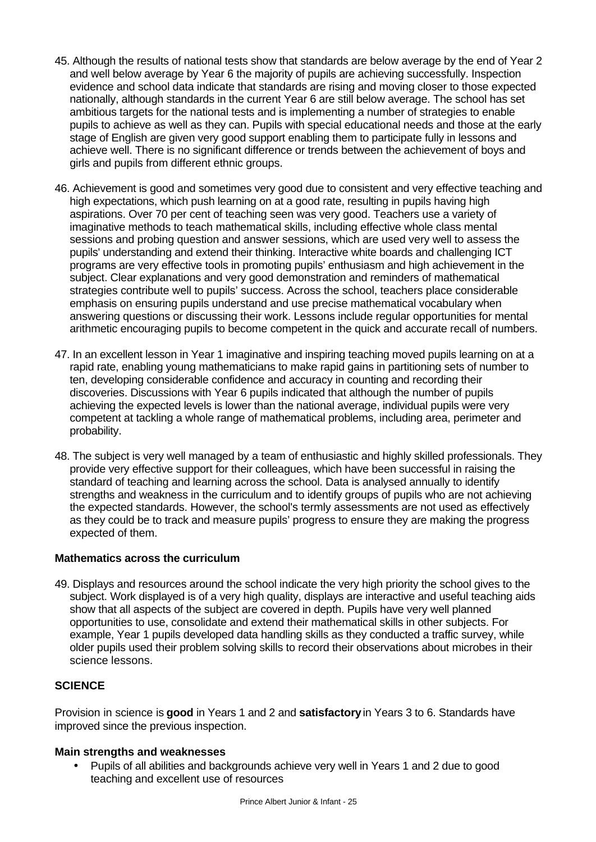- 45. Although the results of national tests show that standards are below average by the end of Year 2 and well below average by Year 6 the majority of pupils are achieving successfully. Inspection evidence and school data indicate that standards are rising and moving closer to those expected nationally, although standards in the current Year 6 are still below average. The school has set ambitious targets for the national tests and is implementing a number of strategies to enable pupils to achieve as well as they can. Pupils with special educational needs and those at the early stage of English are given very good support enabling them to participate fully in lessons and achieve well. There is no significant difference or trends between the achievement of boys and girls and pupils from different ethnic groups.
- 46. Achievement is good and sometimes very good due to consistent and very effective teaching and high expectations, which push learning on at a good rate, resulting in pupils having high aspirations. Over 70 per cent of teaching seen was very good. Teachers use a variety of imaginative methods to teach mathematical skills, including effective whole class mental sessions and probing question and answer sessions, which are used very well to assess the pupils' understanding and extend their thinking. Interactive white boards and challenging ICT programs are very effective tools in promoting pupils' enthusiasm and high achievement in the subject. Clear explanations and very good demonstration and reminders of mathematical strategies contribute well to pupils' success. Across the school, teachers place considerable emphasis on ensuring pupils understand and use precise mathematical vocabulary when answering questions or discussing their work. Lessons include regular opportunities for mental arithmetic encouraging pupils to become competent in the quick and accurate recall of numbers.
- 47. In an excellent lesson in Year 1 imaginative and inspiring teaching moved pupils learning on at a rapid rate, enabling young mathematicians to make rapid gains in partitioning sets of number to ten, developing considerable confidence and accuracy in counting and recording their discoveries. Discussions with Year 6 pupils indicated that although the number of pupils achieving the expected levels is lower than the national average, individual pupils were very competent at tackling a whole range of mathematical problems, including area, perimeter and probability.
- 48. The subject is very well managed by a team of enthusiastic and highly skilled professionals. They provide very effective support for their colleagues, which have been successful in raising the standard of teaching and learning across the school. Data is analysed annually to identify strengths and weakness in the curriculum and to identify groups of pupils who are not achieving the expected standards. However, the school's termly assessments are not used as effectively as they could be to track and measure pupils' progress to ensure they are making the progress expected of them.

## **Mathematics across the curriculum**

49. Displays and resources around the school indicate the very high priority the school gives to the subject. Work displayed is of a very high quality, displays are interactive and useful teaching aids show that all aspects of the subject are covered in depth. Pupils have very well planned opportunities to use, consolidate and extend their mathematical skills in other subjects. For example, Year 1 pupils developed data handling skills as they conducted a traffic survey, while older pupils used their problem solving skills to record their observations about microbes in their science lessons.

# **SCIENCE**

Provision in science is **good** in Years 1 and 2 and **satisfactory** in Years 3 to 6. Standards have improved since the previous inspection.

## **Main strengths and weaknesses**

• Pupils of all abilities and backgrounds achieve very well in Years 1 and 2 due to good teaching and excellent use of resources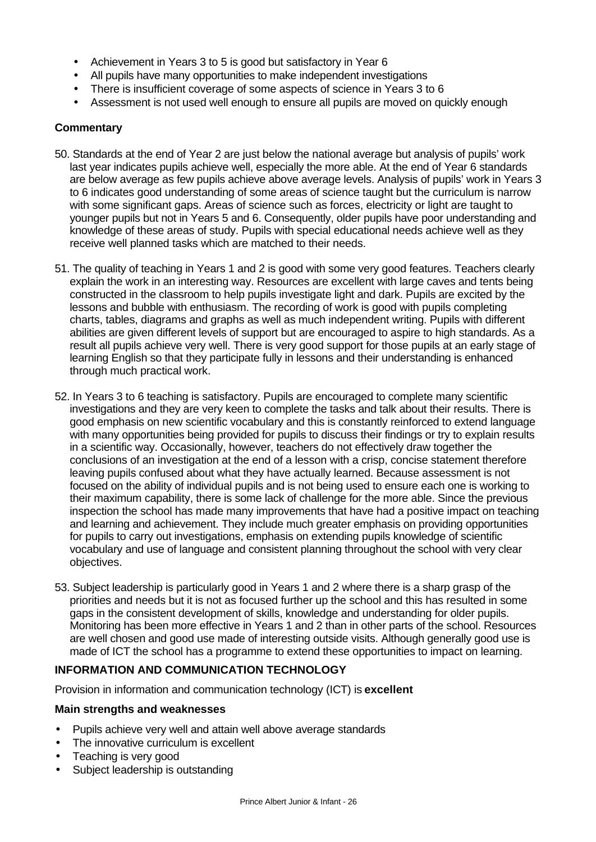- Achievement in Years 3 to 5 is good but satisfactory in Year 6
- All pupils have many opportunities to make independent investigations
- There is insufficient coverage of some aspects of science in Years 3 to 6
- Assessment is not used well enough to ensure all pupils are moved on quickly enough

## **Commentary**

- 50. Standards at the end of Year 2 are just below the national average but analysis of pupils' work last year indicates pupils achieve well, especially the more able. At the end of Year 6 standards are below average as few pupils achieve above average levels. Analysis of pupils' work in Years 3 to 6 indicates good understanding of some areas of science taught but the curriculum is narrow with some significant gaps. Areas of science such as forces, electricity or light are taught to younger pupils but not in Years 5 and 6. Consequently, older pupils have poor understanding and knowledge of these areas of study. Pupils with special educational needs achieve well as they receive well planned tasks which are matched to their needs.
- 51. The quality of teaching in Years 1 and 2 is good with some very good features. Teachers clearly explain the work in an interesting way. Resources are excellent with large caves and tents being constructed in the classroom to help pupils investigate light and dark. Pupils are excited by the lessons and bubble with enthusiasm. The recording of work is good with pupils completing charts, tables, diagrams and graphs as well as much independent writing. Pupils with different abilities are given different levels of support but are encouraged to aspire to high standards. As a result all pupils achieve very well. There is very good support for those pupils at an early stage of learning English so that they participate fully in lessons and their understanding is enhanced through much practical work.
- 52. In Years 3 to 6 teaching is satisfactory. Pupils are encouraged to complete many scientific investigations and they are very keen to complete the tasks and talk about their results. There is good emphasis on new scientific vocabulary and this is constantly reinforced to extend language with many opportunities being provided for pupils to discuss their findings or try to explain results in a scientific way. Occasionally, however, teachers do not effectively draw together the conclusions of an investigation at the end of a lesson with a crisp, concise statement therefore leaving pupils confused about what they have actually learned. Because assessment is not focused on the ability of individual pupils and is not being used to ensure each one is working to their maximum capability, there is some lack of challenge for the more able. Since the previous inspection the school has made many improvements that have had a positive impact on teaching and learning and achievement. They include much greater emphasis on providing opportunities for pupils to carry out investigations, emphasis on extending pupils knowledge of scientific vocabulary and use of language and consistent planning throughout the school with very clear objectives.
- 53. Subject leadership is particularly good in Years 1 and 2 where there is a sharp grasp of the priorities and needs but it is not as focused further up the school and this has resulted in some gaps in the consistent development of skills, knowledge and understanding for older pupils. Monitoring has been more effective in Years 1 and 2 than in other parts of the school. Resources are well chosen and good use made of interesting outside visits. Although generally good use is made of ICT the school has a programme to extend these opportunities to impact on learning.

## **INFORMATION AND COMMUNICATION TECHNOLOGY**

Provision in information and communication technology (ICT) is **excellent**

- Pupils achieve very well and attain well above average standards
- The innovative curriculum is excellent
- Teaching is very good
- Subject leadership is outstanding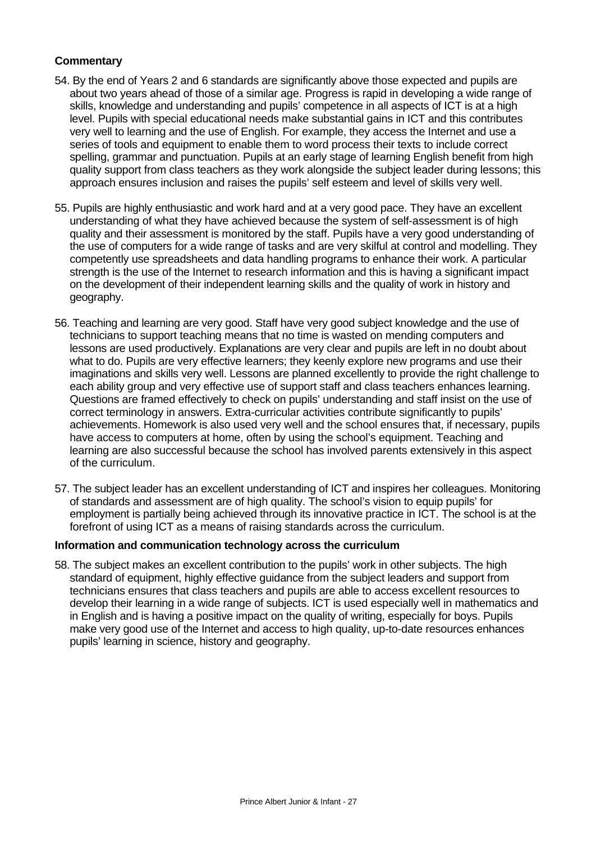# **Commentary**

- 54. By the end of Years 2 and 6 standards are significantly above those expected and pupils are about two years ahead of those of a similar age. Progress is rapid in developing a wide range of skills, knowledge and understanding and pupils' competence in all aspects of ICT is at a high level. Pupils with special educational needs make substantial gains in ICT and this contributes very well to learning and the use of English. For example, they access the Internet and use a series of tools and equipment to enable them to word process their texts to include correct spelling, grammar and punctuation. Pupils at an early stage of learning English benefit from high quality support from class teachers as they work alongside the subject leader during lessons; this approach ensures inclusion and raises the pupils' self esteem and level of skills very well.
- 55. Pupils are highly enthusiastic and work hard and at a very good pace. They have an excellent understanding of what they have achieved because the system of self-assessment is of high quality and their assessment is monitored by the staff. Pupils have a very good understanding of the use of computers for a wide range of tasks and are very skilful at control and modelling. They competently use spreadsheets and data handling programs to enhance their work. A particular strength is the use of the Internet to research information and this is having a significant impact on the development of their independent learning skills and the quality of work in history and geography.
- 56. Teaching and learning are very good. Staff have very good subject knowledge and the use of technicians to support teaching means that no time is wasted on mending computers and lessons are used productively. Explanations are very clear and pupils are left in no doubt about what to do. Pupils are very effective learners; they keenly explore new programs and use their imaginations and skills very well. Lessons are planned excellently to provide the right challenge to each ability group and very effective use of support staff and class teachers enhances learning. Questions are framed effectively to check on pupils' understanding and staff insist on the use of correct terminology in answers. Extra-curricular activities contribute significantly to pupils' achievements. Homework is also used very well and the school ensures that, if necessary, pupils have access to computers at home, often by using the school's equipment. Teaching and learning are also successful because the school has involved parents extensively in this aspect of the curriculum.
- 57. The subject leader has an excellent understanding of ICT and inspires her colleagues. Monitoring of standards and assessment are of high quality. The school's vision to equip pupils' for employment is partially being achieved through its innovative practice in ICT. The school is at the forefront of using ICT as a means of raising standards across the curriculum.

#### **Information and communication technology across the curriculum**

58. The subject makes an excellent contribution to the pupils' work in other subjects. The high standard of equipment, highly effective quidance from the subject leaders and support from technicians ensures that class teachers and pupils are able to access excellent resources to develop their learning in a wide range of subjects. ICT is used especially well in mathematics and in English and is having a positive impact on the quality of writing, especially for boys. Pupils make very good use of the Internet and access to high quality, up-to-date resources enhances pupils' learning in science, history and geography.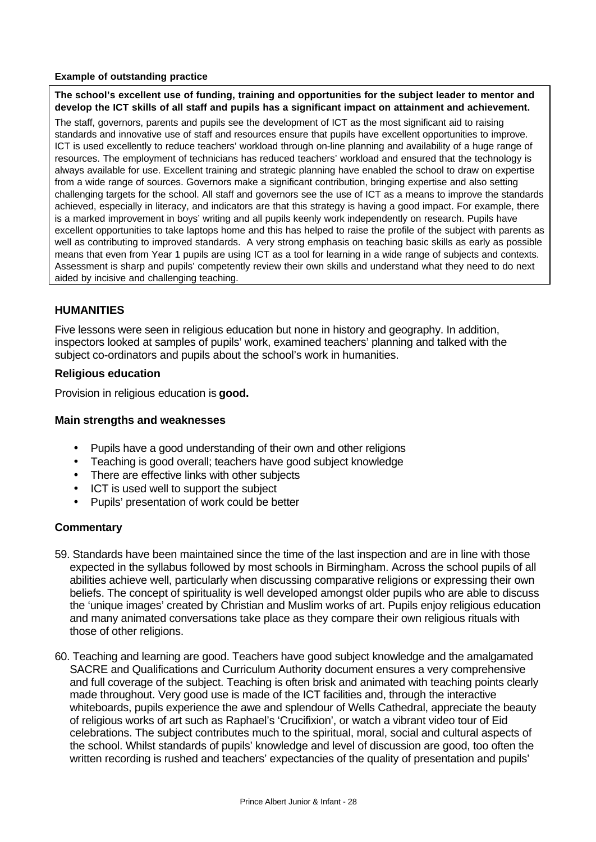#### **Example of outstanding practice**

**The school's excellent use of funding, training and opportunities for the subject leader to mentor and develop the ICT skills of all staff and pupils has a significant impact on attainment and achievement.**

The staff, governors, parents and pupils see the development of ICT as the most significant aid to raising standards and innovative use of staff and resources ensure that pupils have excellent opportunities to improve. ICT is used excellently to reduce teachers' workload through on-line planning and availability of a huge range of resources. The employment of technicians has reduced teachers' workload and ensured that the technology is always available for use. Excellent training and strategic planning have enabled the school to draw on expertise from a wide range of sources. Governors make a significant contribution, bringing expertise and also setting challenging targets for the school. All staff and governors see the use of ICT as a means to improve the standards achieved, especially in literacy, and indicators are that this strategy is having a good impact. For example, there is a marked improvement in boys' writing and all pupils keenly work independently on research. Pupils have excellent opportunities to take laptops home and this has helped to raise the profile of the subject with parents as well as contributing to improved standards. A very strong emphasis on teaching basic skills as early as possible means that even from Year 1 pupils are using ICT as a tool for learning in a wide range of subjects and contexts. Assessment is sharp and pupils' competently review their own skills and understand what they need to do next aided by incisive and challenging teaching.

# **HUMANITIES**

Five lessons were seen in religious education but none in history and geography. In addition, inspectors looked at samples of pupils' work, examined teachers' planning and talked with the subject co-ordinators and pupils about the school's work in humanities.

## **Religious education**

Provision in religious education is **good.**

## **Main strengths and weaknesses**

- Pupils have a good understanding of their own and other religions
- Teaching is good overall; teachers have good subject knowledge
- There are effective links with other subjects
- ICT is used well to support the subject
- Pupils' presentation of work could be better

- 59. Standards have been maintained since the time of the last inspection and are in line with those expected in the syllabus followed by most schools in Birmingham. Across the school pupils of all abilities achieve well, particularly when discussing comparative religions or expressing their own beliefs. The concept of spirituality is well developed amongst older pupils who are able to discuss the 'unique images' created by Christian and Muslim works of art. Pupils enjoy religious education and many animated conversations take place as they compare their own religious rituals with those of other religions.
- 60. Teaching and learning are good. Teachers have good subject knowledge and the amalgamated SACRE and Qualifications and Curriculum Authority document ensures a very comprehensive and full coverage of the subject. Teaching is often brisk and animated with teaching points clearly made throughout. Very good use is made of the ICT facilities and, through the interactive whiteboards, pupils experience the awe and splendour of Wells Cathedral, appreciate the beauty of religious works of art such as Raphael's 'Crucifixion', or watch a vibrant video tour of Eid celebrations. The subject contributes much to the spiritual, moral, social and cultural aspects of the school. Whilst standards of pupils' knowledge and level of discussion are good, too often the written recording is rushed and teachers' expectancies of the quality of presentation and pupils'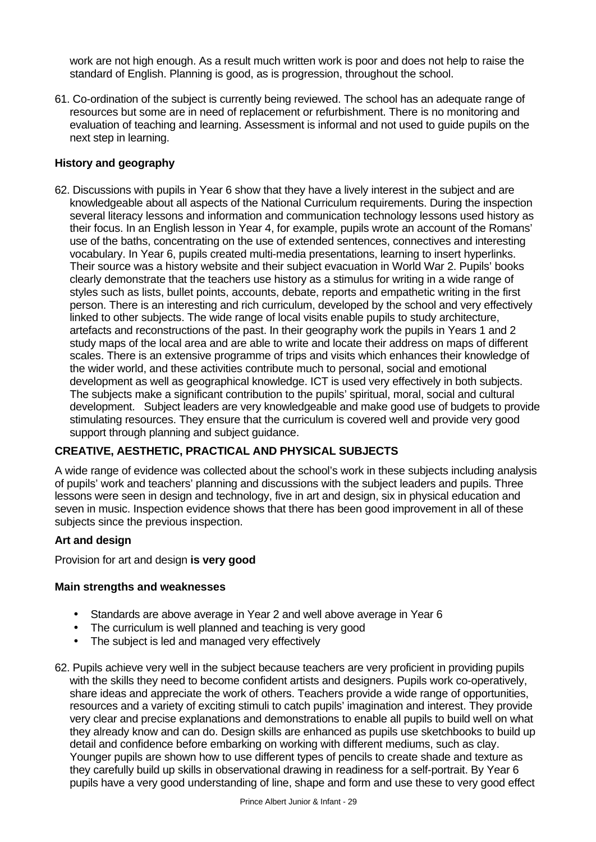work are not high enough. As a result much written work is poor and does not help to raise the standard of English. Planning is good, as is progression, throughout the school.

61. Co-ordination of the subject is currently being reviewed. The school has an adequate range of resources but some are in need of replacement or refurbishment. There is no monitoring and evaluation of teaching and learning. Assessment is informal and not used to guide pupils on the next step in learning.

# **History and geography**

62. Discussions with pupils in Year 6 show that they have a lively interest in the subject and are knowledgeable about all aspects of the National Curriculum requirements. During the inspection several literacy lessons and information and communication technology lessons used history as their focus. In an English lesson in Year 4, for example, pupils wrote an account of the Romans' use of the baths, concentrating on the use of extended sentences, connectives and interesting vocabulary. In Year 6, pupils created multi-media presentations, learning to insert hyperlinks. Their source was a history website and their subject evacuation in World War 2. Pupils' books clearly demonstrate that the teachers use history as a stimulus for writing in a wide range of styles such as lists, bullet points, accounts, debate, reports and empathetic writing in the first person. There is an interesting and rich curriculum, developed by the school and very effectively linked to other subjects. The wide range of local visits enable pupils to study architecture, artefacts and reconstructions of the past. In their geography work the pupils in Years 1 and 2 study maps of the local area and are able to write and locate their address on maps of different scales. There is an extensive programme of trips and visits which enhances their knowledge of the wider world, and these activities contribute much to personal, social and emotional development as well as geographical knowledge. ICT is used very effectively in both subjects. The subjects make a significant contribution to the pupils' spiritual, moral, social and cultural development. Subject leaders are very knowledgeable and make good use of budgets to provide stimulating resources. They ensure that the curriculum is covered well and provide very good support through planning and subject guidance.

# **CREATIVE, AESTHETIC, PRACTICAL AND PHYSICAL SUBJECTS**

A wide range of evidence was collected about the school's work in these subjects including analysis of pupils' work and teachers' planning and discussions with the subject leaders and pupils. Three lessons were seen in design and technology, five in art and design, six in physical education and seven in music. Inspection evidence shows that there has been good improvement in all of these subjects since the previous inspection.

## **Art and design**

Provision for art and design **is very good**

- Standards are above average in Year 2 and well above average in Year 6
- The curriculum is well planned and teaching is very good
- The subject is led and managed very effectively
- 62. Pupils achieve very well in the subject because teachers are very proficient in providing pupils with the skills they need to become confident artists and designers. Pupils work co-operatively, share ideas and appreciate the work of others. Teachers provide a wide range of opportunities, resources and a variety of exciting stimuli to catch pupils' imagination and interest. They provide very clear and precise explanations and demonstrations to enable all pupils to build well on what they already know and can do. Design skills are enhanced as pupils use sketchbooks to build up detail and confidence before embarking on working with different mediums, such as clay. Younger pupils are shown how to use different types of pencils to create shade and texture as they carefully build up skills in observational drawing in readiness for a self-portrait. By Year 6 pupils have a very good understanding of line, shape and form and use these to very good effect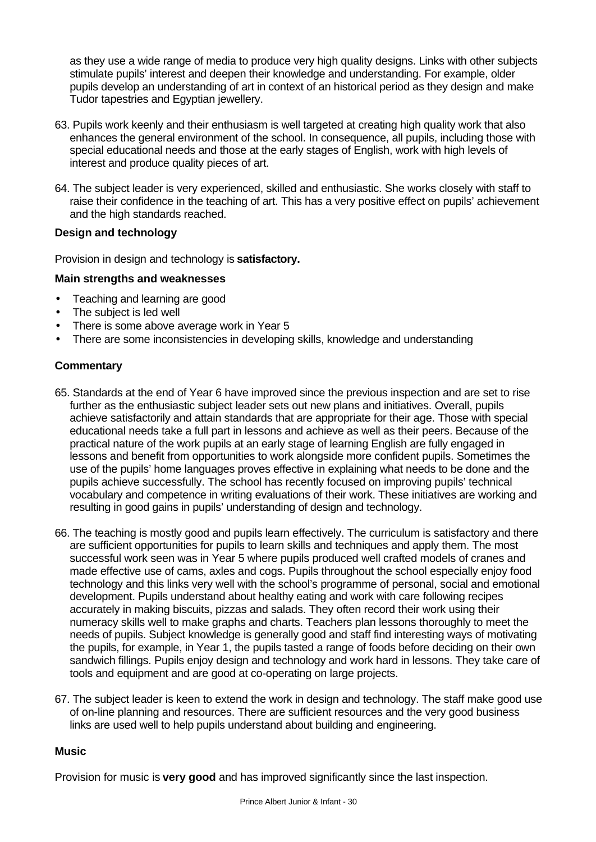as they use a wide range of media to produce very high quality designs. Links with other subjects stimulate pupils' interest and deepen their knowledge and understanding. For example, older pupils develop an understanding of art in context of an historical period as they design and make Tudor tapestries and Egyptian jewellery.

- 63. Pupils work keenly and their enthusiasm is well targeted at creating high quality work that also enhances the general environment of the school. In consequence, all pupils, including those with special educational needs and those at the early stages of English, work with high levels of interest and produce quality pieces of art.
- 64. The subject leader is very experienced, skilled and enthusiastic. She works closely with staff to raise their confidence in the teaching of art. This has a very positive effect on pupils' achievement and the high standards reached.

# **Design and technology**

Provision in design and technology is **satisfactory.**

# **Main strengths and weaknesses**

- Teaching and learning are good
- The subject is led well
- There is some above average work in Year 5
- There are some inconsistencies in developing skills, knowledge and understanding

# **Commentary**

- 65. Standards at the end of Year 6 have improved since the previous inspection and are set to rise further as the enthusiastic subject leader sets out new plans and initiatives. Overall, pupils achieve satisfactorily and attain standards that are appropriate for their age. Those with special educational needs take a full part in lessons and achieve as well as their peers. Because of the practical nature of the work pupils at an early stage of learning English are fully engaged in lessons and benefit from opportunities to work alongside more confident pupils. Sometimes the use of the pupils' home languages proves effective in explaining what needs to be done and the pupils achieve successfully. The school has recently focused on improving pupils' technical vocabulary and competence in writing evaluations of their work. These initiatives are working and resulting in good gains in pupils' understanding of design and technology.
- 66. The teaching is mostly good and pupils learn effectively. The curriculum is satisfactory and there are sufficient opportunities for pupils to learn skills and techniques and apply them. The most successful work seen was in Year 5 where pupils produced well crafted models of cranes and made effective use of cams, axles and cogs. Pupils throughout the school especially enjoy food technology and this links very well with the school's programme of personal, social and emotional development. Pupils understand about healthy eating and work with care following recipes accurately in making biscuits, pizzas and salads. They often record their work using their numeracy skills well to make graphs and charts. Teachers plan lessons thoroughly to meet the needs of pupils. Subject knowledge is generally good and staff find interesting ways of motivating the pupils, for example, in Year 1, the pupils tasted a range of foods before deciding on their own sandwich fillings. Pupils enjoy design and technology and work hard in lessons. They take care of tools and equipment and are good at co-operating on large projects.
- 67. The subject leader is keen to extend the work in design and technology. The staff make good use of on-line planning and resources. There are sufficient resources and the very good business links are used well to help pupils understand about building and engineering.

## **Music**

Provision for music is **very good** and has improved significantly since the last inspection.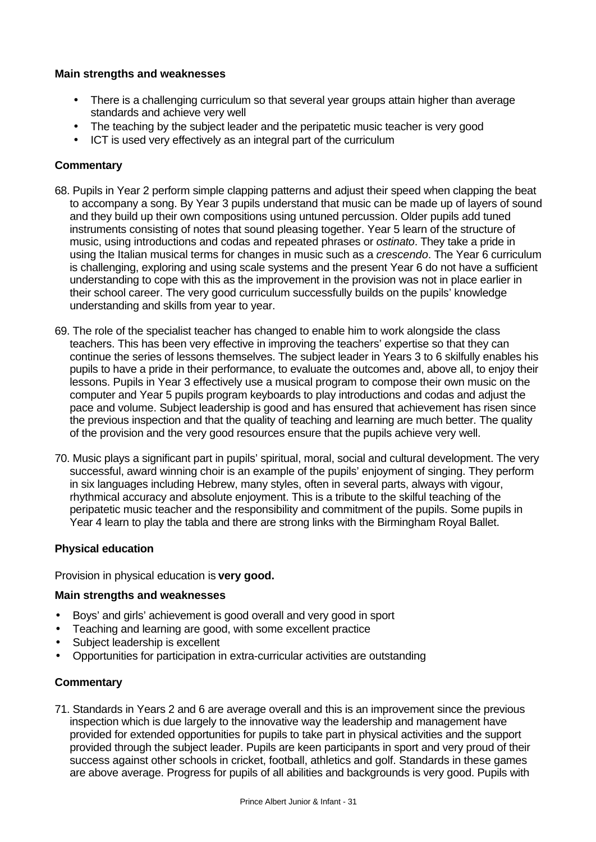# **Main strengths and weaknesses**

- There is a challenging curriculum so that several year groups attain higher than average standards and achieve very well
- The teaching by the subject leader and the peripatetic music teacher is very good
- ICT is used very effectively as an integral part of the curriculum

# **Commentary**

- 68. Pupils in Year 2 perform simple clapping patterns and adjust their speed when clapping the beat to accompany a song. By Year 3 pupils understand that music can be made up of layers of sound and they build up their own compositions using untuned percussion. Older pupils add tuned instruments consisting of notes that sound pleasing together. Year 5 learn of the structure of music, using introductions and codas and repeated phrases or *ostinato*. They take a pride in using the Italian musical terms for changes in music such as a *crescendo*. The Year 6 curriculum is challenging, exploring and using scale systems and the present Year 6 do not have a sufficient understanding to cope with this as the improvement in the provision was not in place earlier in their school career. The very good curriculum successfully builds on the pupils' knowledge understanding and skills from year to year.
- 69. The role of the specialist teacher has changed to enable him to work alongside the class teachers. This has been very effective in improving the teachers' expertise so that they can continue the series of lessons themselves. The subject leader in Years 3 to 6 skilfully enables his pupils to have a pride in their performance, to evaluate the outcomes and, above all, to enjoy their lessons. Pupils in Year 3 effectively use a musical program to compose their own music on the computer and Year 5 pupils program keyboards to play introductions and codas and adjust the pace and volume. Subject leadership is good and has ensured that achievement has risen since the previous inspection and that the quality of teaching and learning are much better. The quality of the provision and the very good resources ensure that the pupils achieve very well.
- 70. Music plays a significant part in pupils' spiritual, moral, social and cultural development. The very successful, award winning choir is an example of the pupils' enjoyment of singing. They perform in six languages including Hebrew, many styles, often in several parts, always with vigour, rhythmical accuracy and absolute enjoyment. This is a tribute to the skilful teaching of the peripatetic music teacher and the responsibility and commitment of the pupils. Some pupils in Year 4 learn to play the tabla and there are strong links with the Birmingham Royal Ballet.

## **Physical education**

Provision in physical education is **very good.**

## **Main strengths and weaknesses**

- Boys' and girls' achievement is good overall and very good in sport
- Teaching and learning are good, with some excellent practice
- Subject leadership is excellent
- Opportunities for participation in extra-curricular activities are outstanding

# **Commentary**

71. Standards in Years 2 and 6 are average overall and this is an improvement since the previous inspection which is due largely to the innovative way the leadership and management have provided for extended opportunities for pupils to take part in physical activities and the support provided through the subject leader. Pupils are keen participants in sport and very proud of their success against other schools in cricket, football, athletics and golf. Standards in these games are above average. Progress for pupils of all abilities and backgrounds is very good. Pupils with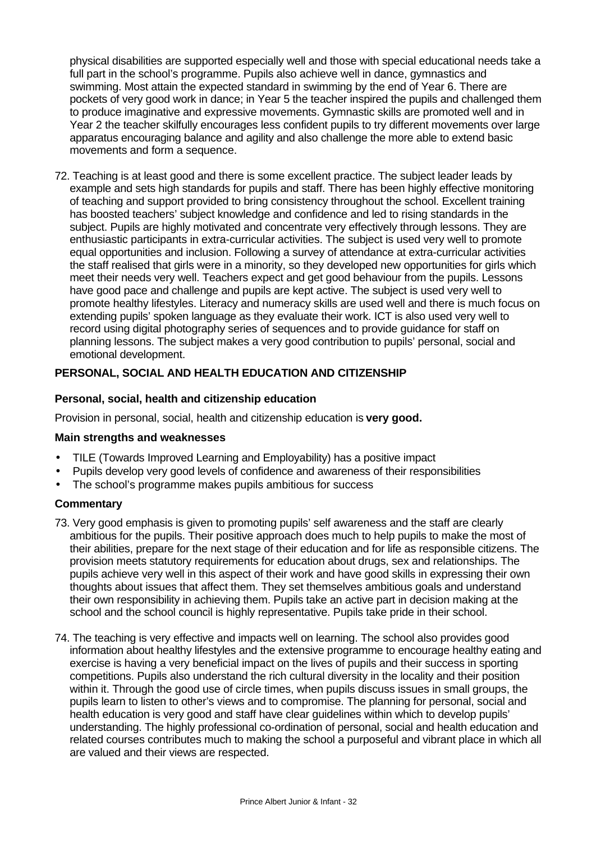physical disabilities are supported especially well and those with special educational needs take a full part in the school's programme. Pupils also achieve well in dance, gymnastics and swimming. Most attain the expected standard in swimming by the end of Year 6. There are pockets of very good work in dance; in Year 5 the teacher inspired the pupils and challenged them to produce imaginative and expressive movements. Gymnastic skills are promoted well and in Year 2 the teacher skilfully encourages less confident pupils to try different movements over large apparatus encouraging balance and agility and also challenge the more able to extend basic movements and form a sequence.

72. Teaching is at least good and there is some excellent practice. The subject leader leads by example and sets high standards for pupils and staff. There has been highly effective monitoring of teaching and support provided to bring consistency throughout the school. Excellent training has boosted teachers' subject knowledge and confidence and led to rising standards in the subject. Pupils are highly motivated and concentrate very effectively through lessons. They are enthusiastic participants in extra-curricular activities. The subject is used very well to promote equal opportunities and inclusion. Following a survey of attendance at extra-curricular activities the staff realised that girls were in a minority, so they developed new opportunities for girls which meet their needs very well. Teachers expect and get good behaviour from the pupils. Lessons have good pace and challenge and pupils are kept active. The subject is used very well to promote healthy lifestyles. Literacy and numeracy skills are used well and there is much focus on extending pupils' spoken language as they evaluate their work. ICT is also used very well to record using digital photography series of sequences and to provide guidance for staff on planning lessons. The subject makes a very good contribution to pupils' personal, social and emotional development.

# **PERSONAL, SOCIAL AND HEALTH EDUCATION AND CITIZENSHIP**

#### **Personal, social, health and citizenship education**

Provision in personal, social, health and citizenship education is **very good.**

#### **Main strengths and weaknesses**

- TILE (Towards Improved Learning and Employability) has a positive impact
- Pupils develop very good levels of confidence and awareness of their responsibilities
- The school's programme makes pupils ambitious for success

- 73. Very good emphasis is given to promoting pupils' self awareness and the staff are clearly ambitious for the pupils. Their positive approach does much to help pupils to make the most of their abilities, prepare for the next stage of their education and for life as responsible citizens. The provision meets statutory requirements for education about drugs, sex and relationships. The pupils achieve very well in this aspect of their work and have good skills in expressing their own thoughts about issues that affect them. They set themselves ambitious goals and understand their own responsibility in achieving them. Pupils take an active part in decision making at the school and the school council is highly representative. Pupils take pride in their school.
- 74. The teaching is very effective and impacts well on learning. The school also provides good information about healthy lifestyles and the extensive programme to encourage healthy eating and exercise is having a very beneficial impact on the lives of pupils and their success in sporting competitions. Pupils also understand the rich cultural diversity in the locality and their position within it. Through the good use of circle times, when pupils discuss issues in small groups, the pupils learn to listen to other's views and to compromise. The planning for personal, social and health education is very good and staff have clear guidelines within which to develop pupils' understanding. The highly professional co-ordination of personal, social and health education and related courses contributes much to making the school a purposeful and vibrant place in which all are valued and their views are respected.